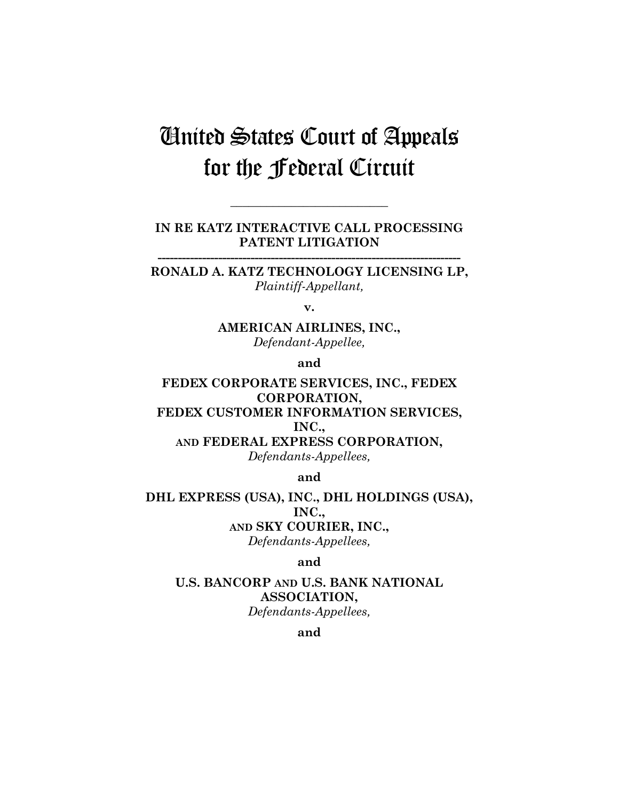# United States Court of Appeals for the Federal Circuit

**IN RE KATZ INTERACTIVE CALL PROCESSING PATENT LITIGATION** 

**\_\_\_\_\_\_\_\_\_\_\_\_\_\_\_\_\_\_\_\_\_\_\_\_\_\_** 

**RONALD A. KATZ TECHNOLOGY LICENSING LP,**  *Plaintiff-Appellant,* 

**---------------------------------------------------------------------------** 

**v.** 

**AMERICAN AIRLINES, INC.,**  *Defendant-Appellee,* 

**and** 

**FEDEX CORPORATE SERVICES, INC., FEDEX CORPORATION, FEDEX CUSTOMER INFORMATION SERVICES, INC., AND FEDERAL EXPRESS CORPORATION,**  *Defendants-Appellees,* 

**and** 

**DHL EXPRESS (USA), INC., DHL HOLDINGS (USA), INC., AND SKY COURIER, INC.,**  *Defendants-Appellees,* 

**and** 

**U.S. BANCORP AND U.S. BANK NATIONAL ASSOCIATION,**  *Defendants-Appellees,* 

**and**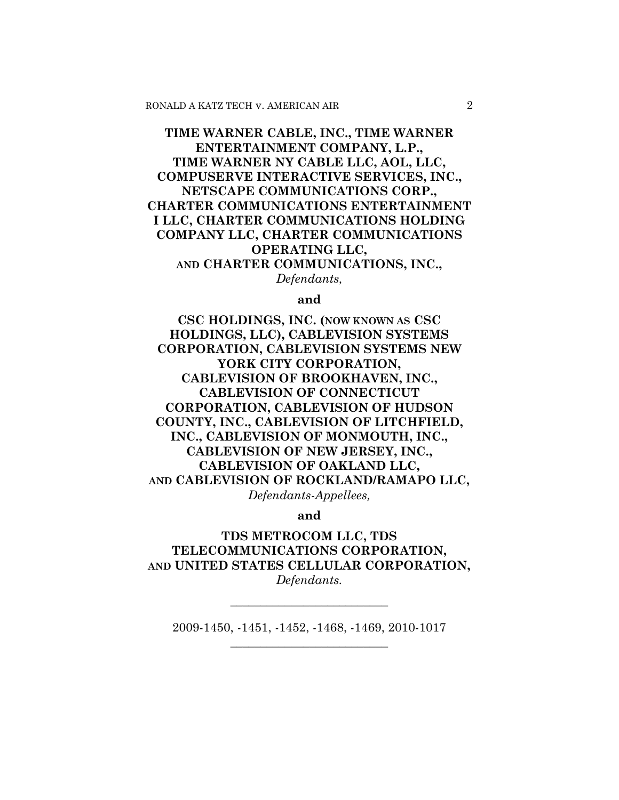# **TIME WARNER CABLE, INC., TIME WARNER ENTERTAINMENT COMPANY, L.P., TIME WARNER NY CABLE LLC, AOL, LLC, COMPUSERVE INTERACTIVE SERVICES, INC., NETSCAPE COMMUNICATIONS CORP., CHARTER COMMUNICATIONS ENTERTAINMENT I LLC, CHARTER COMMUNICATIONS HOLDING COMPANY LLC, CHARTER COMMUNICATIONS OPERATING LLC, AND CHARTER COMMUNICATIONS, INC.,**  *Defendants,*

**and** 

**CSC HOLDINGS, INC. (NOW KNOWN AS CSC HOLDINGS, LLC), CABLEVISION SYSTEMS CORPORATION, CABLEVISION SYSTEMS NEW YORK CITY CORPORATION, CABLEVISION OF BROOKHAVEN, INC., CABLEVISION OF CONNECTICUT CORPORATION, CABLEVISION OF HUDSON COUNTY, INC., CABLEVISION OF LITCHFIELD, INC., CABLEVISION OF MONMOUTH, INC., CABLEVISION OF NEW JERSEY, INC., CABLEVISION OF OAKLAND LLC, AND CABLEVISION OF ROCKLAND/RAMAPO LLC,**  *Defendants-Appellees,* 

**and** 

**TDS METROCOM LLC, TDS TELECOMMUNICATIONS CORPORATION, AND UNITED STATES CELLULAR CORPORATION,**  *Defendants.* 

2009-1450, -1451, -1452, -1468, -1469, 2010-1017 **\_\_\_\_\_\_\_\_\_\_\_\_\_\_\_\_\_\_\_\_\_\_\_\_\_\_** 

**\_\_\_\_\_\_\_\_\_\_\_\_\_\_\_\_\_\_\_\_\_\_\_\_\_\_**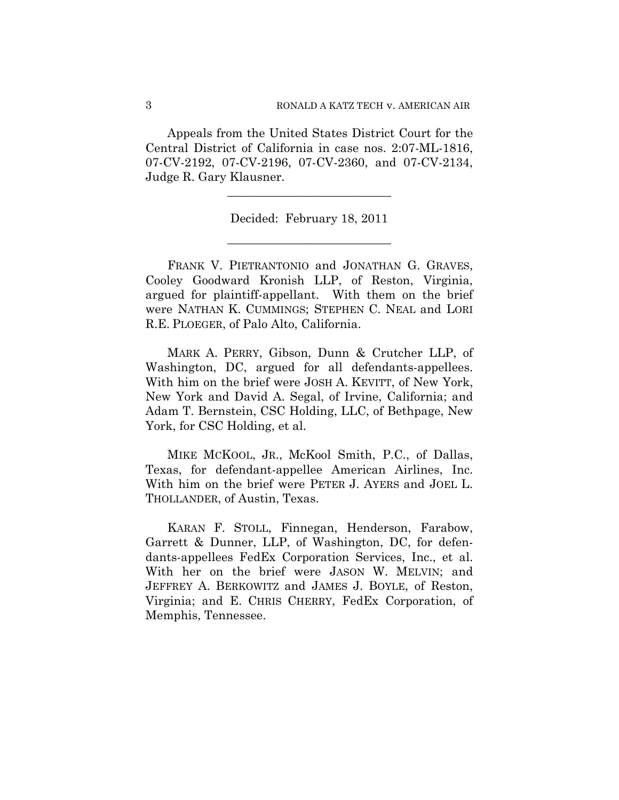Appeals from the United States District Court for the Central District of California in case nos. 2:07-ML-1816, 07-CV-2192, 07-CV-2196, 07-CV-2360, and 07-CV-2134, Judge R. Gary Klausner.

> Decided: February 18, 2011 **\_\_\_\_\_\_\_\_\_\_\_\_\_\_\_\_\_\_\_\_\_\_\_\_\_\_\_**

> **\_\_\_\_\_\_\_\_\_\_\_\_\_\_\_\_\_\_\_\_\_\_\_\_\_\_\_**

FRANK V. PIETRANTONIO and JONATHAN G. GRAVES, Cooley Goodward Kronish LLP, of Reston, Virginia, argued for plaintiff-appellant. With them on the brief were NATHAN K. CUMMINGS; STEPHEN C. NEAL and LORI R.E. PLOEGER, of Palo Alto, California.

MARK A. PERRY, Gibson, Dunn & Crutcher LLP, of Washington, DC, argued for all defendants-appellees. With him on the brief were JOSH A. KEVITT, of New York, New York and David A. Segal, of Irvine, California; and Adam T. Bernstein, CSC Holding, LLC, of Bethpage, New York, for CSC Holding, et al.

MIKE MCKOOL, JR., McKool Smith, P.C., of Dallas, Texas, for defendant-appellee American Airlines, Inc. With him on the brief were PETER J. AYERS and JOEL L. THOLLANDER, of Austin, Texas.

KARAN F. STOLL, Finnegan, Henderson, Farabow, Garrett & Dunner, LLP, of Washington, DC, for defendants-appellees FedEx Corporation Services, Inc., et al. With her on the brief were JASON W. MELVIN; and JEFFREY A. BERKOWITZ and JAMES J. BOYLE, of Reston, Virginia; and E. CHRIS CHERRY, FedEx Corporation, of Memphis, Tennessee.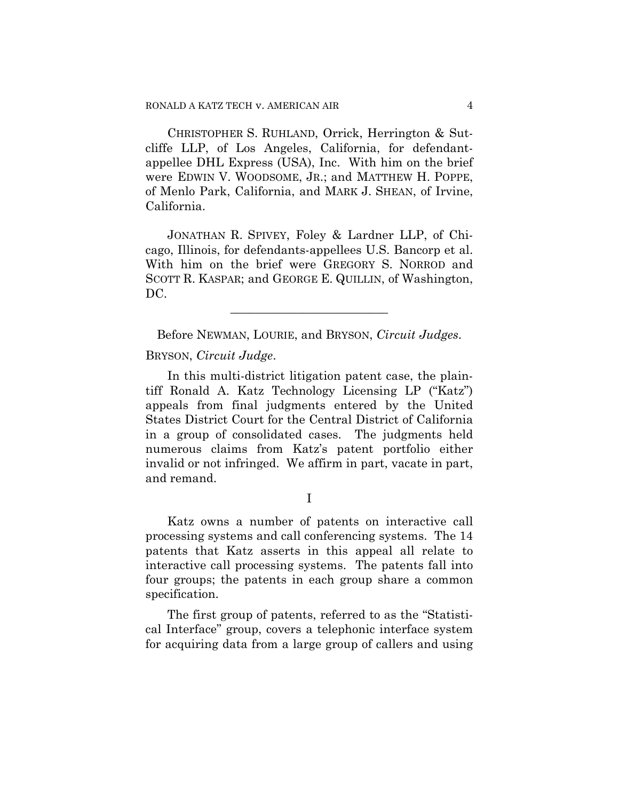CHRISTOPHER S. RUHLAND, Orrick, Herrington & Sutcliffe LLP, of Los Angeles, California, for defendantappellee DHL Express (USA), Inc. With him on the brief were EDWIN V. WOODSOME, JR.; and MATTHEW H. POPPE, of Menlo Park, California, and MARK J. SHEAN, of Irvine, California.

JONATHAN R. SPIVEY, Foley & Lardner LLP, of Chicago, Illinois, for defendants-appellees U.S. Bancorp et al. With him on the brief were GREGORY S. NORROD and SCOTT R. KASPAR; and GEORGE E. QUILLIN, of Washington, DC.

Before NEWMAN, LOURIE, and BRYSON, *Circuit Judges*.

**\_\_\_\_\_\_\_\_\_\_\_\_\_\_\_\_\_\_\_\_\_\_\_\_\_\_** 

BRYSON, *Circuit Judge*.

In this multi-district litigation patent case, the plaintiff Ronald A. Katz Technology Licensing LP ("Katz") appeals from final judgments entered by the United States District Court for the Central District of California in a group of consolidated cases. The judgments held numerous claims from Katz's patent portfolio either invalid or not infringed. We affirm in part, vacate in part, and remand.

I

Katz owns a number of patents on interactive call processing systems and call conferencing systems. The 14 patents that Katz asserts in this appeal all relate to interactive call processing systems. The patents fall into four groups; the patents in each group share a common specification.

The first group of patents, referred to as the "Statistical Interface" group, covers a telephonic interface system for acquiring data from a large group of callers and using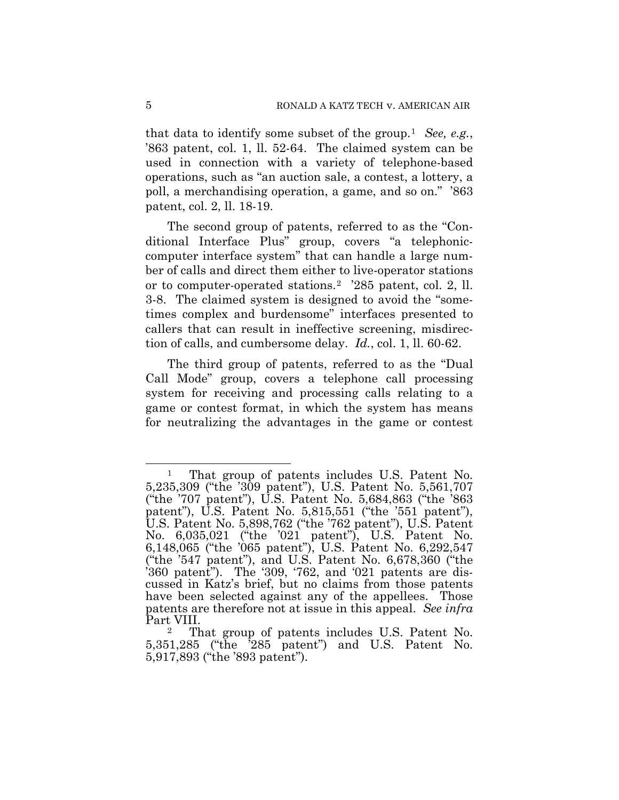that data to identify some subset of the group.[1](#page-4-0) *See, e.g.*, '863 patent, col. 1, ll. 52-64. The claimed system can be used in connection with a variety of telephone-based operations, such as "an auction sale, a contest, a lottery, a poll, a merchandising operation, a game, and so on." '863 patent, col. 2, ll. 18-19.

The second group of patents, referred to as the "Conditional Interface Plus" group, covers "a telephoniccomputer interface system" that can handle a large number of calls and direct them either to live-operator stations or to computer-operated stations.[2](#page-4-1) '285 patent, col. 2, ll. 3-8. The claimed system is designed to avoid the "sometimes complex and burdensome" interfaces presented to callers that can result in ineffective screening, misdirection of calls, and cumbersome delay. *Id.*, col. 1, ll. 60-62.

The third group of patents, referred to as the "Dual Call Mode" group, covers a telephone call processing system for receiving and processing calls relating to a game or contest format, in which the system has means for neutralizing the advantages in the game or contest

l

<span id="page-4-0"></span><sup>&</sup>lt;sup>1</sup> That group of patents includes U.S. Patent No. 5,235,309 ("the '309 patent"), U.S. Patent No. 5,561,707 ("the '707 patent"), U.S. Patent No. 5,684,863 ("the '863 patent"), U.S. Patent No. 5,815,551 ("the '551 patent"), U.S. Patent No. 5,898,762 ("the '762 patent"), U.S. Patent No. 6,035,021 ("the '021 patent"), U.S. Patent No. 6,148,065 ("the '065 patent"), U.S. Patent No. 6,292,547 ("the '547 patent"), and U.S. Patent No. 6,678,360 ("the  $360$  patent"). The  $309, 762$ , and  $021$  patents are discussed in Katz's brief, but no claims from those patents have been selected against any of the appellees. Those patents are therefore not at issue in this appeal. *See infra* Part VIII.

<span id="page-4-1"></span>That group of patents includes U.S. Patent No. 5,351,285 ("the '285 patent") and U.S. Patent No. 5,917,893 ("the '893 patent").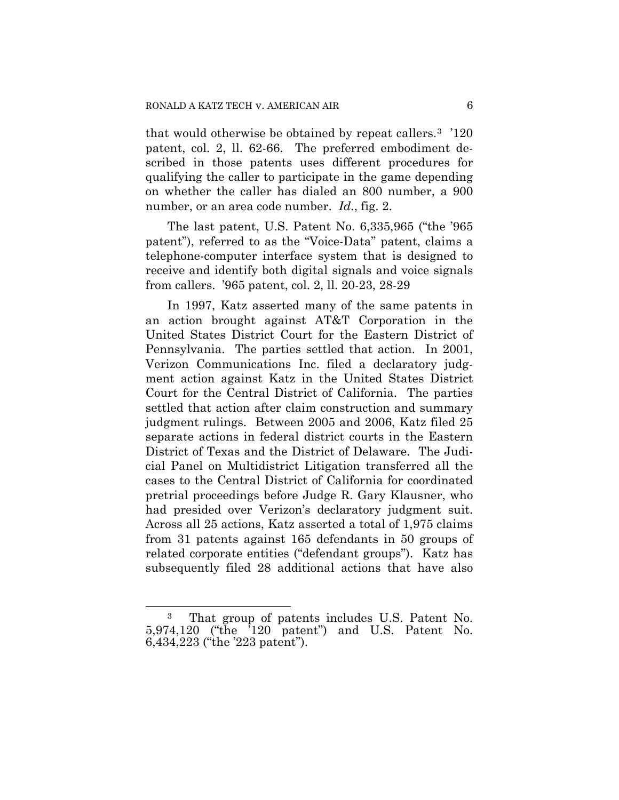that would otherwise be obtained by repeat callers.[3](#page-5-0) '120 patent, col. 2, ll. 62-66. The preferred embodiment described in those patents uses different procedures for qualifying the caller to participate in the game depending on whether the caller has dialed an 800 number, a 900 number, or an area code number. *Id.*, fig. 2.

The last patent, U.S. Patent No. 6,335,965 ("the '965 patent"), referred to as the "Voice-Data" patent, claims a telephone-computer interface system that is designed to receive and identify both digital signals and voice signals from callers. '965 patent, col. 2, ll. 20-23, 28-29

In 1997, Katz asserted many of the same patents in an action brought against AT&T Corporation in the United States District Court for the Eastern District of Pennsylvania. The parties settled that action. In 2001, Verizon Communications Inc. filed a declaratory judgment action against Katz in the United States District Court for the Central District of California. The parties settled that action after claim construction and summary judgment rulings. Between 2005 and 2006, Katz filed 25 separate actions in federal district courts in the Eastern District of Texas and the District of Delaware. The Judicial Panel on Multidistrict Litigation transferred all the cases to the Central District of California for coordinated pretrial proceedings before Judge R. Gary Klausner, who had presided over Verizon's declaratory judgment suit. Across all 25 actions, Katz asserted a total of 1,975 claims from 31 patents against 165 defendants in 50 groups of related corporate entities ("defendant groups"). Katz has subsequently filed 28 additional actions that have also

l

<span id="page-5-0"></span><sup>3</sup> That group of patents includes U.S. Patent No. 5,974,120 ("the '120 patent") and U.S. Patent No. 6,434,223 ("the '223 patent").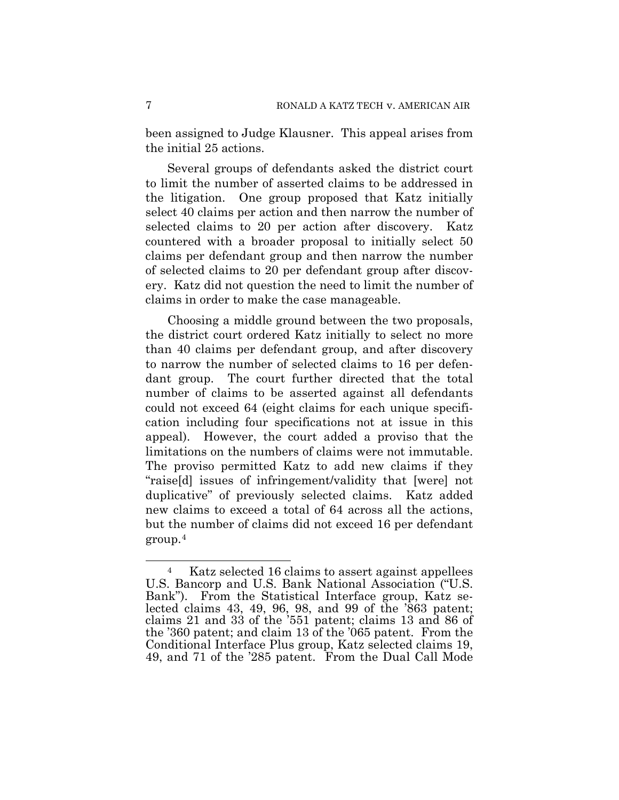been assigned to Judge Klausner. This appeal arises from the initial 25 actions.

Several groups of defendants asked the district court to limit the number of asserted claims to be addressed in the litigation. One group proposed that Katz initially select 40 claims per action and then narrow the number of selected claims to 20 per action after discovery. Katz countered with a broader proposal to initially select 50 claims per defendant group and then narrow the number of selected claims to 20 per defendant group after discovery. Katz did not question the need to limit the number of claims in order to make the case manageable.

Choosing a middle ground between the two proposals, the district court ordered Katz initially to select no more than 40 claims per defendant group, and after discovery to narrow the number of selected claims to 16 per defendant group. The court further directed that the total number of claims to be asserted against all defendants could not exceed 64 (eight claims for each unique specification including four specifications not at issue in this appeal). However, the court added a proviso that the limitations on the numbers of claims were not immutable. The proviso permitted Katz to add new claims if they "raise[d] issues of infringement/validity that [were] not duplicative" of previously selected claims. Katz added new claims to exceed a total of 64 across all the actions, but the number of claims did not exceed 16 per defendant group.[4](#page-6-0)

<span id="page-6-0"></span>Katz selected 16 claims to assert against appellees U.S. Bancorp and U.S. Bank National Association ("U.S. Bank"). From the Statistical Interface group, Katz selected claims 43, 49, 96, 98, and 99 of the '863 patent; claims 21 and 33 of the '551 patent; claims 13 and 86 of the '360 patent; and claim 13 of the '065 patent. From the Conditional Interface Plus group, Katz selected claims 19, 49, and 71 of the '285 patent. From the Dual Call Mode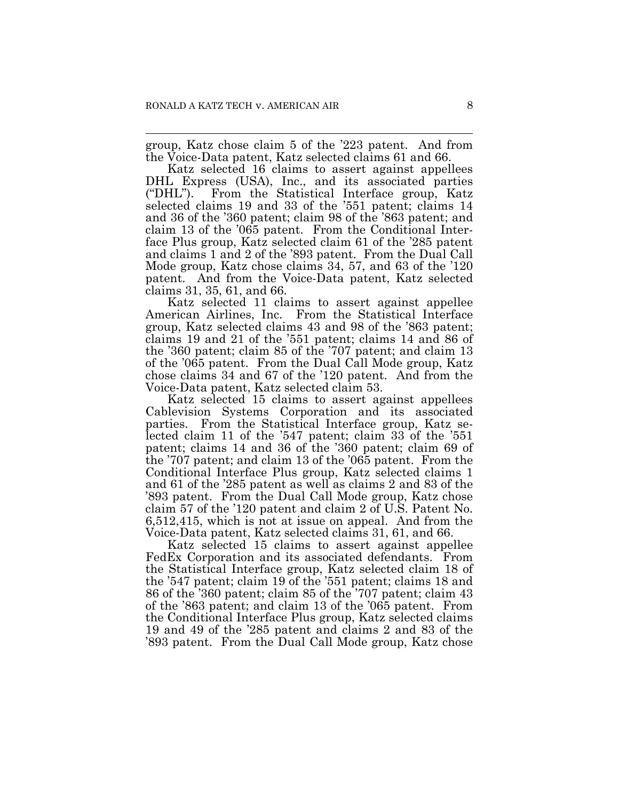$\overline{a}$ 

group, Katz chose claim 5 of the '223 patent. And from the Voice-Data patent, Katz selected claims 61 and 66.

Katz selected 16 claims to assert against appellees DHL Express (USA), Inc., and its associated parties ("DHL"). From the Statistical Interface group, Katz selected claims 19 and 33 of the '551 patent; claims 14 and 36 of the '360 patent; claim 98 of the '863 patent; and claim 13 of the '065 patent. From the Conditional Interface Plus group, Katz selected claim 61 of the '285 patent and claims 1 and 2 of the '893 patent. From the Dual Call Mode group, Katz chose claims 34, 57, and 63 of the '120 patent. And from the Voice-Data patent, Katz selected claims 31, 35, 61, and 66.

Katz selected 11 claims to assert against appellee American Airlines, Inc. From the Statistical Interface group, Katz selected claims 43 and 98 of the '863 patent; claims 19 and 21 of the '551 patent; claims 14 and 86 of the '360 patent; claim 85 of the '707 patent; and claim 13 of the '065 patent. From the Dual Call Mode group, Katz chose claims 34 and 67 of the '120 patent. And from the Voice-Data patent, Katz selected claim 53.

Katz selected 15 claims to assert against appellees Cablevision Systems Corporation and its associated parties. From the Statistical Interface group, Katz selected claim 11 of the '547 patent; claim 33 of the '551 patent; claims 14 and 36 of the '360 patent; claim 69 of the '707 patent; and claim 13 of the '065 patent. From the Conditional Interface Plus group, Katz selected claims 1 and 61 of the '285 patent as well as claims 2 and 83 of the '893 patent. From the Dual Call Mode group, Katz chose claim 57 of the '120 patent and claim 2 of U.S. Patent No. 6,512,415, which is not at issue on appeal. And from the Voice-Data patent, Katz selected claims 31, 61, and 66.

Katz selected 15 claims to assert against appellee FedEx Corporation and its associated defendants. From the Statistical Interface group, Katz selected claim 18 of the '547 patent; claim 19 of the '551 patent; claims 18 and 86 of the '360 patent; claim 85 of the '707 patent; claim 43 of the '863 patent; and claim 13 of the '065 patent. From the Conditional Interface Plus group, Katz selected claims 19 and 49 of the '285 patent and claims 2 and 83 of the '893 patent. From the Dual Call Mode group, Katz chose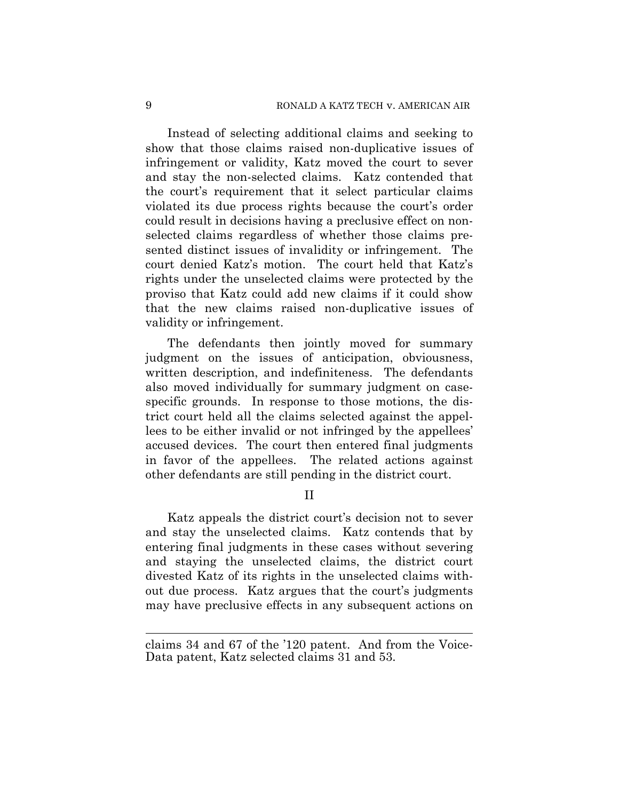Instead of selecting additional claims and seeking to show that those claims raised non-duplicative issues of infringement or validity, Katz moved the court to sever and stay the non-selected claims. Katz contended that the court's requirement that it select particular claims violated its due process rights because the court's order could result in decisions having a preclusive effect on nonselected claims regardless of whether those claims presented distinct issues of invalidity or infringement. The court denied Katz's motion. The court held that Katz's rights under the unselected claims were protected by the proviso that Katz could add new claims if it could show that the new claims raised non-duplicative issues of validity or infringement.

The defendants then jointly moved for summary judgment on the issues of anticipation, obviousness, written description, and indefiniteness. The defendants also moved individually for summary judgment on casespecific grounds. In response to those motions, the district court held all the claims selected against the appellees to be either invalid or not infringed by the appellees' accused devices. The court then entered final judgments in favor of the appellees. The related actions against other defendants are still pending in the district court.

II

Katz appeals the district court's decision not to sever and stay the unselected claims. Katz contends that by entering final judgments in these cases without severing and staying the unselected claims, the district court divested Katz of its rights in the unselected claims without due process. Katz argues that the court's judgments may have preclusive effects in any subsequent actions on

claims 34 and 67 of the '120 patent. And from the Voice-Data patent, Katz selected claims 31 and 53.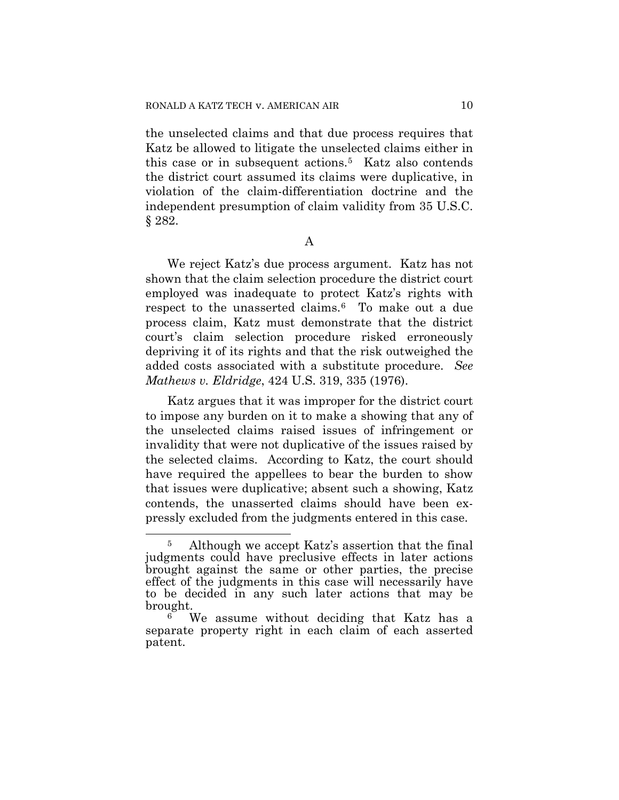the unselected claims and that due process requires that Katz be allowed to litigate the unselected claims either in this case or in subsequent actions.[5](#page-9-0) Katz also contends the district court assumed its claims were duplicative, in violation of the claim-differentiation doctrine and the independent presumption of claim validity from 35 U.S.C. § 282.

A

We reject Katz's due process argument. Katz has not shown that the claim selection procedure the district court employed was inadequate to protect Katz's rights with respect to the unasserted claims[.6](#page-9-1) To make out a due process claim, Katz must demonstrate that the district court's claim selection procedure risked erroneously depriving it of its rights and that the risk outweighed the added costs associated with a substitute procedure. *See Mathews v. Eldridge*, 424 U.S. 319, 335 (1976).

Katz argues that it was improper for the district court to impose any burden on it to make a showing that any of the unselected claims raised issues of infringement or invalidity that were not duplicative of the issues raised by the selected claims. According to Katz, the court should have required the appellees to bear the burden to show that issues were duplicative; absent such a showing, Katz contends, the unasserted claims should have been expressly excluded from the judgments entered in this case.

<span id="page-9-0"></span> $\overline{a}$ l Although we accept Katz's assertion that the final judgments could have preclusive effects in later actions brought against the same or other parties, the precise effect of the judgments in this case will necessarily have to be decided in any such later actions that may be brought.

<span id="page-9-1"></span>We assume without deciding that Katz has a separate property right in each claim of each asserted patent.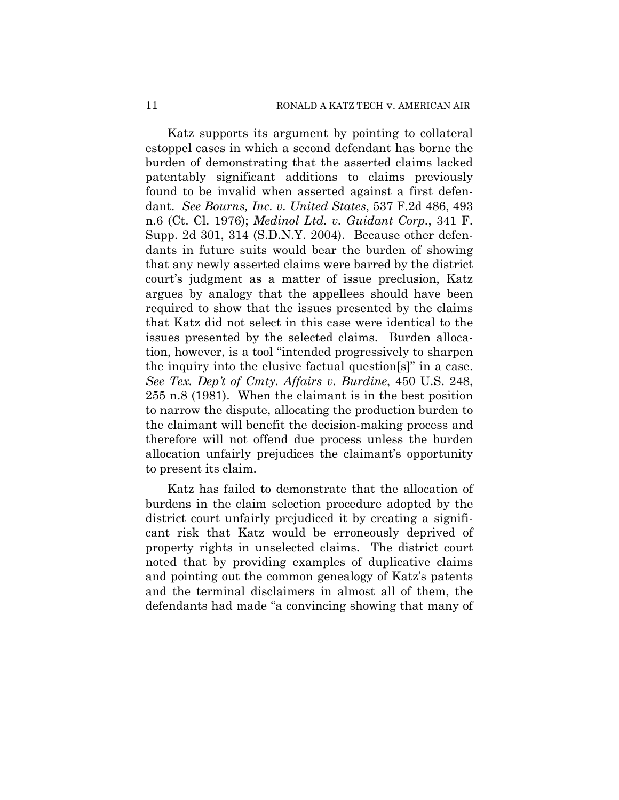Katz supports its argument by pointing to collateral estoppel cases in which a second defendant has borne the burden of demonstrating that the asserted claims lacked patentably significant additions to claims previously found to be invalid when asserted against a first defendant. *See Bourns, Inc. v. United States*, 537 F.2d 486, 493 n.6 (Ct. Cl. 1976); *Medinol Ltd. v. Guidant Corp.*, 341 F. Supp. 2d 301, 314 (S.D.N.Y. 2004). Because other defendants in future suits would bear the burden of showing that any newly asserted claims were barred by the district court's judgment as a matter of issue preclusion, Katz argues by analogy that the appellees should have been required to show that the issues presented by the claims that Katz did not select in this case were identical to the issues presented by the selected claims. Burden allocation, however, is a tool "intended progressively to sharpen the inquiry into the elusive factual question[s]" in a case. *See Tex. Dep't of Cmty. Affairs v. Burdine*, 450 U.S. 248, 255 n.8 (1981). When the claimant is in the best position to narrow the dispute, allocating the production burden to the claimant will benefit the decision-making process and therefore will not offend due process unless the burden allocation unfairly prejudices the claimant's opportunity to present its claim.

Katz has failed to demonstrate that the allocation of burdens in the claim selection procedure adopted by the district court unfairly prejudiced it by creating a significant risk that Katz would be erroneously deprived of property rights in unselected claims. The district court noted that by providing examples of duplicative claims and pointing out the common genealogy of Katz's patents and the terminal disclaimers in almost all of them, the defendants had made "a convincing showing that many of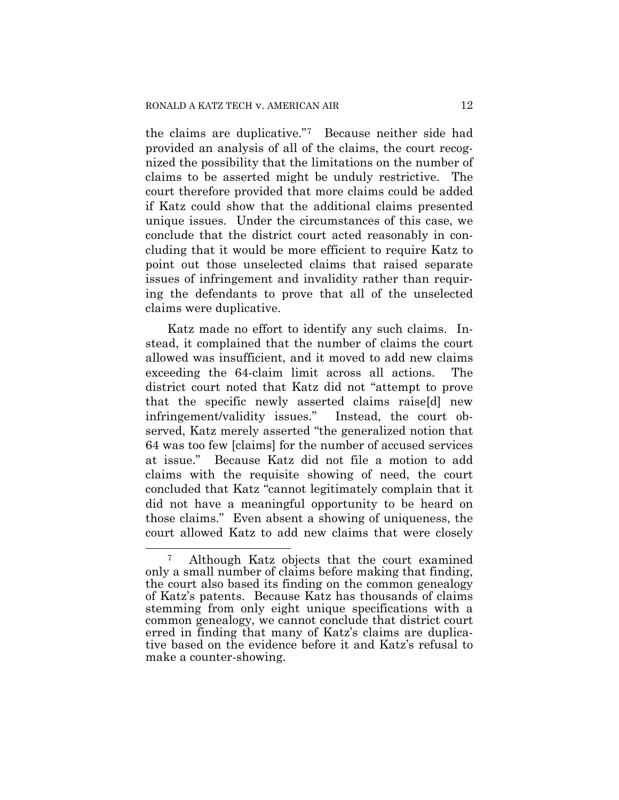the claims are duplicative."[7](#page-11-0) Because neither side had provided an analysis of all of the claims, the court recognized the possibility that the limitations on the number of claims to be asserted might be unduly restrictive. The court therefore provided that more claims could be added if Katz could show that the additional claims presented unique issues. Under the circumstances of this case, we conclude that the district court acted reasonably in concluding that it would be more efficient to require Katz to point out those unselected claims that raised separate issues of infringement and invalidity rather than requiring the defendants to prove that all of the unselected claims were duplicative.

Katz made no effort to identify any such claims. Instead, it complained that the number of claims the court allowed was insufficient, and it moved to add new claims exceeding the 64-claim limit across all actions. The district court noted that Katz did not "attempt to prove that the specific newly asserted claims raise[d] new infringement/validity issues." Instead, the court observed, Katz merely asserted "the generalized notion that 64 was too few [claims] for the number of accused services at issue." Because Katz did not file a motion to add claims with the requisite showing of need, the court concluded that Katz "cannot legitimately complain that it did not have a meaningful opportunity to be heard on those claims." Even absent a showing of uniqueness, the court allowed Katz to add new claims that were closely

l

<span id="page-11-0"></span><sup>7</sup> Although Katz objects that the court examined only a small number of claims before making that finding, the court also based its finding on the common genealogy of Katz's patents. Because Katz has thousands of claims stemming from only eight unique specifications with a common genealogy, we cannot conclude that district court erred in finding that many of Katz's claims are duplicative based on the evidence before it and Katz's refusal to make a counter-showing.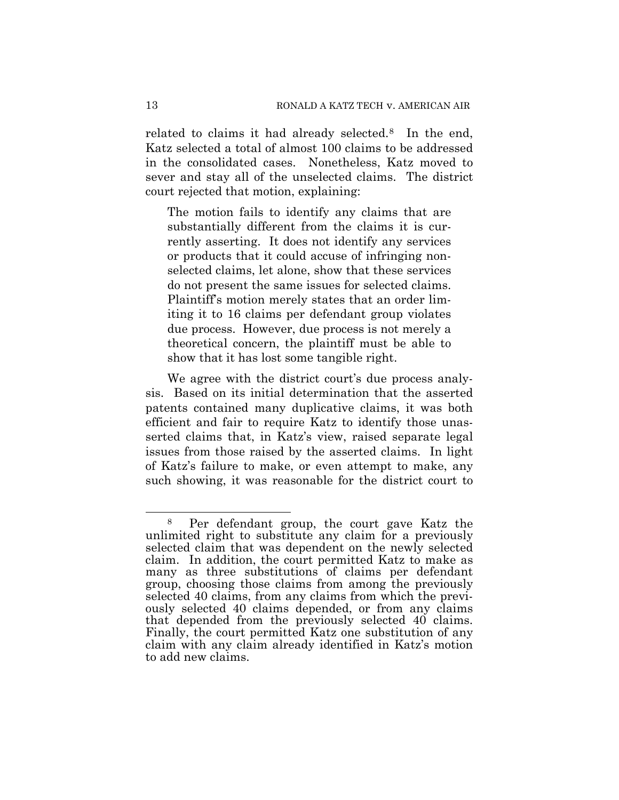related to claims it had already selected.[8](#page-12-0) In the end, Katz selected a total of almost 100 claims to be addressed in the consolidated cases. Nonetheless, Katz moved to sever and stay all of the unselected claims. The district court rejected that motion, explaining:

The motion fails to identify any claims that are substantially different from the claims it is currently asserting. It does not identify any services or products that it could accuse of infringing nonselected claims, let alone, show that these services do not present the same issues for selected claims. Plaintiff's motion merely states that an order limiting it to 16 claims per defendant group violates due process. However, due process is not merely a theoretical concern, the plaintiff must be able to show that it has lost some tangible right.

We agree with the district court's due process analysis. Based on its initial determination that the asserted patents contained many duplicative claims, it was both efficient and fair to require Katz to identify those unasserted claims that, in Katz's view, raised separate legal issues from those raised by the asserted claims. In light of Katz's failure to make, or even attempt to make, any such showing, it was reasonable for the district court to

l

<span id="page-12-0"></span><sup>8</sup> Per defendant group, the court gave Katz the unlimited right to substitute any claim for a previously selected claim that was dependent on the newly selected claim. In addition, the court permitted Katz to make as many as three substitutions of claims per defendant group, choosing those claims from among the previously selected 40 claims, from any claims from which the previously selected 40 claims depended, or from any claims that depended from the previously selected 40 claims. Finally, the court permitted Katz one substitution of any claim with any claim already identified in Katz's motion to add new claims.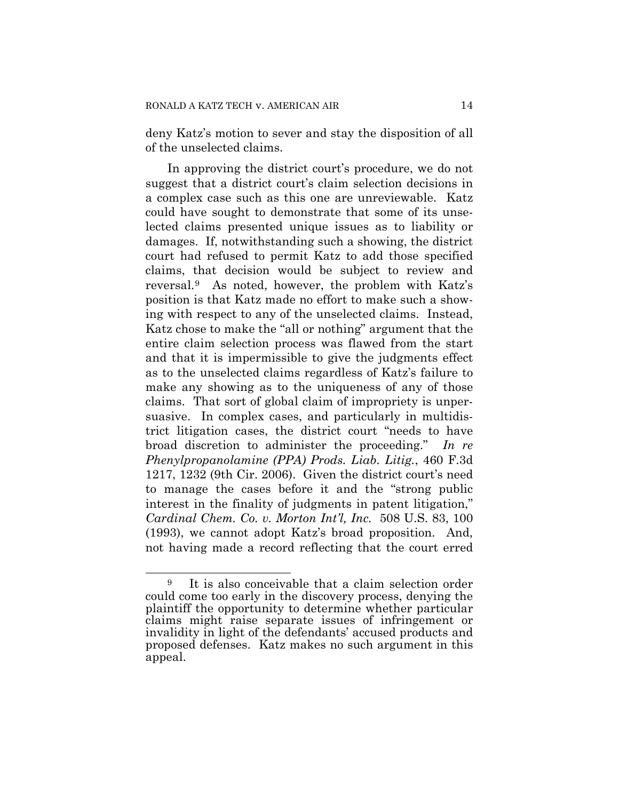deny Katz's motion to sever and stay the disposition of all of the unselected claims.

In approving the district court's procedure, we do not suggest that a district court's claim selection decisions in a complex case such as this one are unreviewable. Katz could have sought to demonstrate that some of its unselected claims presented unique issues as to liability or damages. If, notwithstanding such a showing, the district court had refused to permit Katz to add those specified claims, that decision would be subject to review and reversal.[9](#page-13-0) As noted, however, the problem with Katz's position is that Katz made no effort to make such a showing with respect to any of the unselected claims. Instead, Katz chose to make the "all or nothing" argument that the entire claim selection process was flawed from the start and that it is impermissible to give the judgments effect as to the unselected claims regardless of Katz's failure to make any showing as to the uniqueness of any of those claims. That sort of global claim of impropriety is unpersuasive. In complex cases, and particularly in multidistrict litigation cases, the district court "needs to have broad discretion to administer the proceeding." *In re Phenylpropanolamine (PPA) Prods. Liab. Litig.*, 460 F.3d 1217, 1232 (9th Cir. 2006). Given the district court's need to manage the cases before it and the "strong public interest in the finality of judgments in patent litigation," *Cardinal Chem. Co. v. Morton Int'l, Inc.* 508 U.S. 83, 100 (1993), we cannot adopt Katz's broad proposition. And, not having made a record reflecting that the court erred

l

<span id="page-13-0"></span><sup>9</sup> It is also conceivable that a claim selection order could come too early in the discovery process, denying the plaintiff the opportunity to determine whether particular claims might raise separate issues of infringement or invalidity in light of the defendants' accused products and proposed defenses. Katz makes no such argument in this appeal.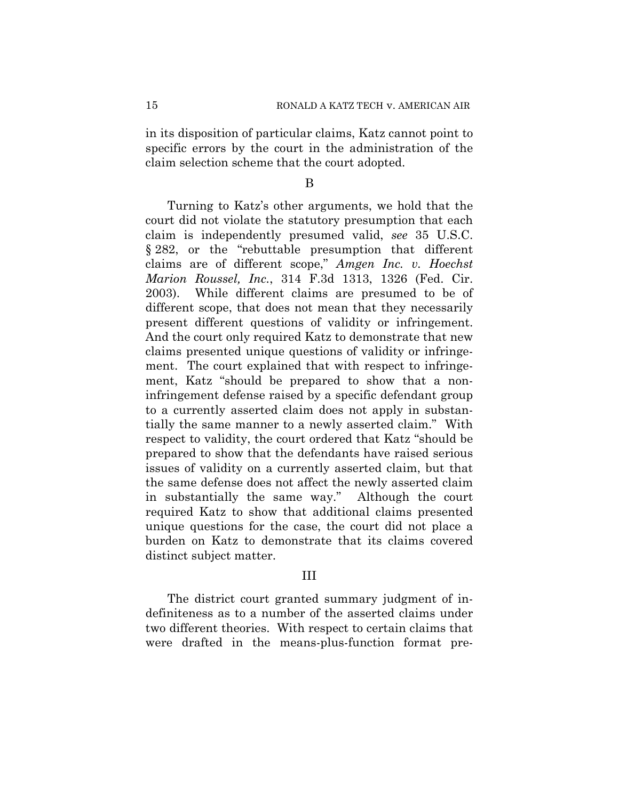in its disposition of particular claims, Katz cannot point to specific errors by the court in the administration of the claim selection scheme that the court adopted.

#### B

Turning to Katz's other arguments, we hold that the court did not violate the statutory presumption that each claim is independently presumed valid, *see* 35 U.S.C. § 282, or the "rebuttable presumption that different claims are of different scope," *Amgen Inc. v. Hoechst Marion Roussel, Inc.*, 314 F.3d 1313, 1326 (Fed. Cir. 2003). While different claims are presumed to be of different scope, that does not mean that they necessarily present different questions of validity or infringement. And the court only required Katz to demonstrate that new claims presented unique questions of validity or infringement. The court explained that with respect to infringement, Katz "should be prepared to show that a noninfringement defense raised by a specific defendant group to a currently asserted claim does not apply in substantially the same manner to a newly asserted claim." With respect to validity, the court ordered that Katz "should be prepared to show that the defendants have raised serious issues of validity on a currently asserted claim, but that the same defense does not affect the newly asserted claim in substantially the same way." Although the court required Katz to show that additional claims presented unique questions for the case, the court did not place a burden on Katz to demonstrate that its claims covered distinct subject matter.

## III

The district court granted summary judgment of indefiniteness as to a number of the asserted claims under two different theories. With respect to certain claims that were drafted in the means-plus-function format pre-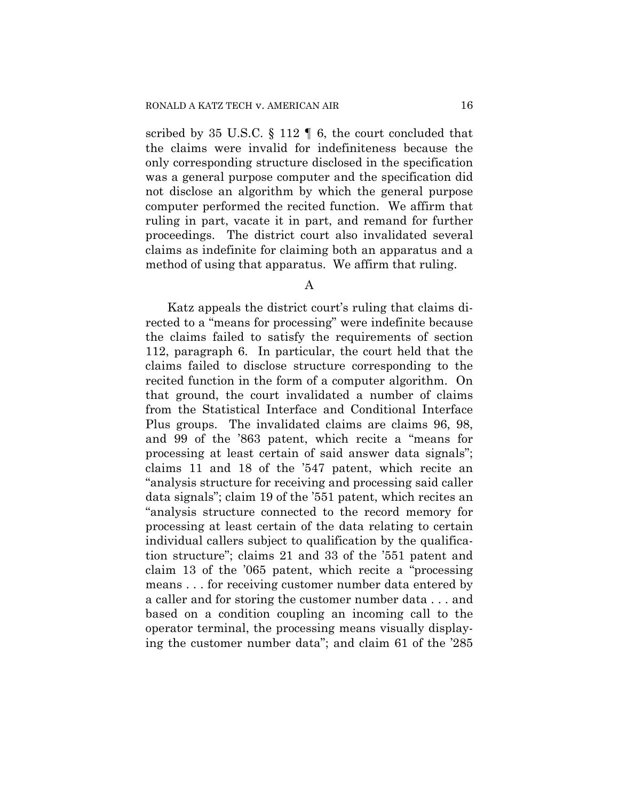scribed by 35 U.S.C. § 112 ¶ 6, the court concluded that the claims were invalid for indefiniteness because the only corresponding structure disclosed in the specification was a general purpose computer and the specification did not disclose an algorithm by which the general purpose computer performed the recited function. We affirm that ruling in part, vacate it in part, and remand for further proceedings. The district court also invalidated several claims as indefinite for claiming both an apparatus and a method of using that apparatus. We affirm that ruling.

#### A

Katz appeals the district court's ruling that claims directed to a "means for processing" were indefinite because the claims failed to satisfy the requirements of section 112, paragraph 6. In particular, the court held that the claims failed to disclose structure corresponding to the recited function in the form of a computer algorithm. On that ground, the court invalidated a number of claims from the Statistical Interface and Conditional Interface Plus groups. The invalidated claims are claims 96, 98, and 99 of the '863 patent, which recite a "means for processing at least certain of said answer data signals"; claims 11 and 18 of the '547 patent, which recite an "analysis structure for receiving and processing said caller data signals"; claim 19 of the '551 patent, which recites an "analysis structure connected to the record memory for processing at least certain of the data relating to certain individual callers subject to qualification by the qualification structure"; claims 21 and 33 of the '551 patent and claim 13 of the '065 patent, which recite a "processing means . . . for receiving customer number data entered by a caller and for storing the customer number data . . . and based on a condition coupling an incoming call to the operator terminal, the processing means visually displaying the customer number data"; and claim 61 of the '285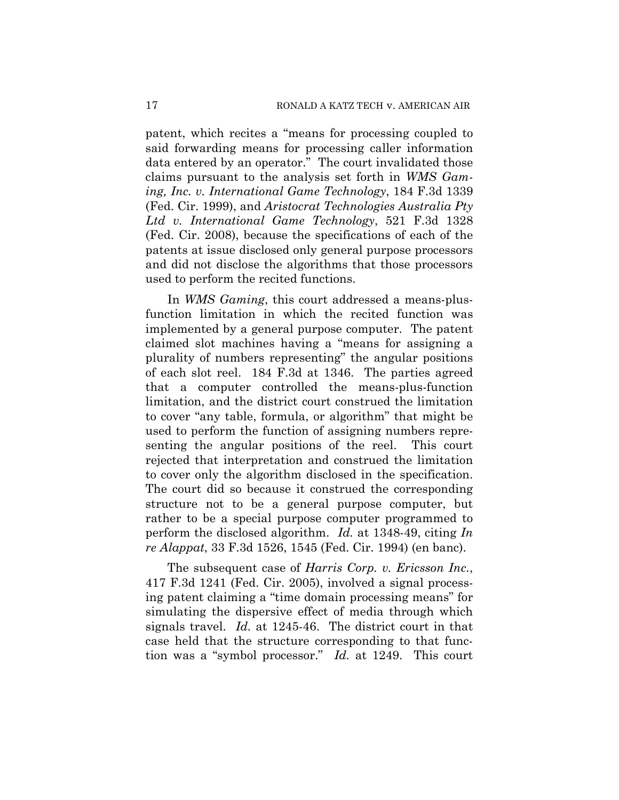patent, which recites a "means for processing coupled to said forwarding means for processing caller information data entered by an operator." The court invalidated those claims pursuant to the analysis set forth in *WMS Gaming, Inc. v. International Game Technology*, 184 F.3d 1339 (Fed. Cir. 1999), and *Aristocrat Technologies Australia Pty Ltd v. International Game Technology*, 521 F.3d 1328 (Fed. Cir. 2008), because the specifications of each of the patents at issue disclosed only general purpose processors and did not disclose the algorithms that those processors used to perform the recited functions.

In *WMS Gaming*, this court addressed a means-plusfunction limitation in which the recited function was implemented by a general purpose computer. The patent claimed slot machines having a "means for assigning a plurality of numbers representing" the angular positions of each slot reel. 184 F.3d at 1346. The parties agreed that a computer controlled the means-plus-function limitation, and the district court construed the limitation to cover "any table, formula, or algorithm" that might be used to perform the function of assigning numbers representing the angular positions of the reel. This court rejected that interpretation and construed the limitation to cover only the algorithm disclosed in the specification. The court did so because it construed the corresponding structure not to be a general purpose computer, but rather to be a special purpose computer programmed to perform the disclosed algorithm. *Id.* at 1348-49, citing *In re Alappat*, 33 F.3d 1526, 1545 (Fed. Cir. 1994) (en banc).

The subsequent case of *Harris Corp. v. Ericsson Inc.*, 417 F.3d 1241 (Fed. Cir. 2005), involved a signal processing patent claiming a "time domain processing means" for simulating the dispersive effect of media through which signals travel. *Id.* at 1245-46. The district court in that case held that the structure corresponding to that function was a "symbol processor." *Id.* at 1249. This court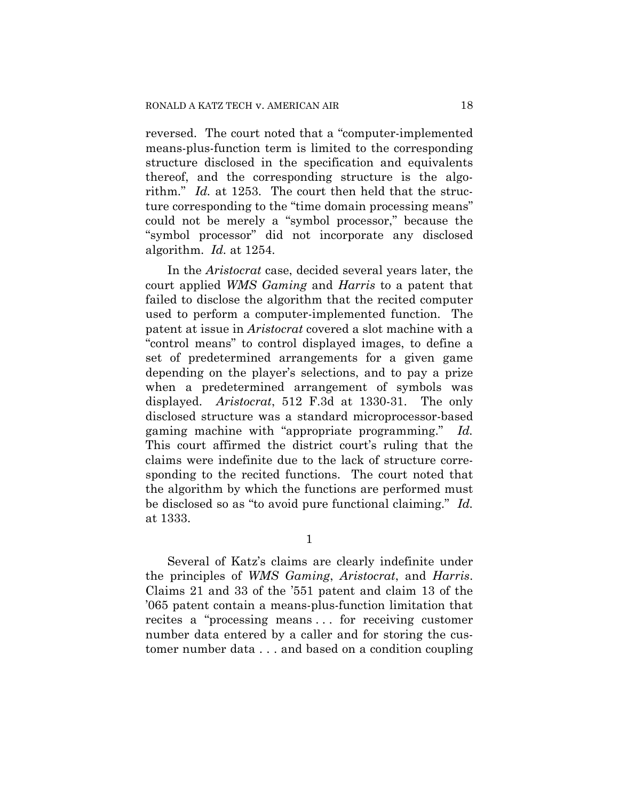reversed. The court noted that a "computer-implemented means-plus-function term is limited to the corresponding structure disclosed in the specification and equivalents thereof, and the corresponding structure is the algorithm." *Id.* at 1253. The court then held that the structure corresponding to the "time domain processing means" could not be merely a "symbol processor," because the "symbol processor" did not incorporate any disclosed algorithm. *Id.* at 1254.

In the *Aristocrat* case, decided several years later, the court applied *WMS Gaming* and *Harris* to a patent that failed to disclose the algorithm that the recited computer used to perform a computer-implemented function. The patent at issue in *Aristocrat* covered a slot machine with a "control means" to control displayed images, to define a set of predetermined arrangements for a given game depending on the player's selections, and to pay a prize when a predetermined arrangement of symbols was displayed. *Aristocrat*, 512 F.3d at 1330-31. The only disclosed structure was a standard microprocessor-based gaming machine with "appropriate programming." *Id.* This court affirmed the district court's ruling that the claims were indefinite due to the lack of structure corresponding to the recited functions. The court noted that the algorithm by which the functions are performed must be disclosed so as "to avoid pure functional claiming." *Id.* at 1333.

1

Several of Katz's claims are clearly indefinite under the principles of *WMS Gaming*, *Aristocrat*, and *Harris*. Claims 21 and 33 of the '551 patent and claim 13 of the '065 patent contain a means-plus-function limitation that recites a "processing means . . . for receiving customer number data entered by a caller and for storing the customer number data . . . and based on a condition coupling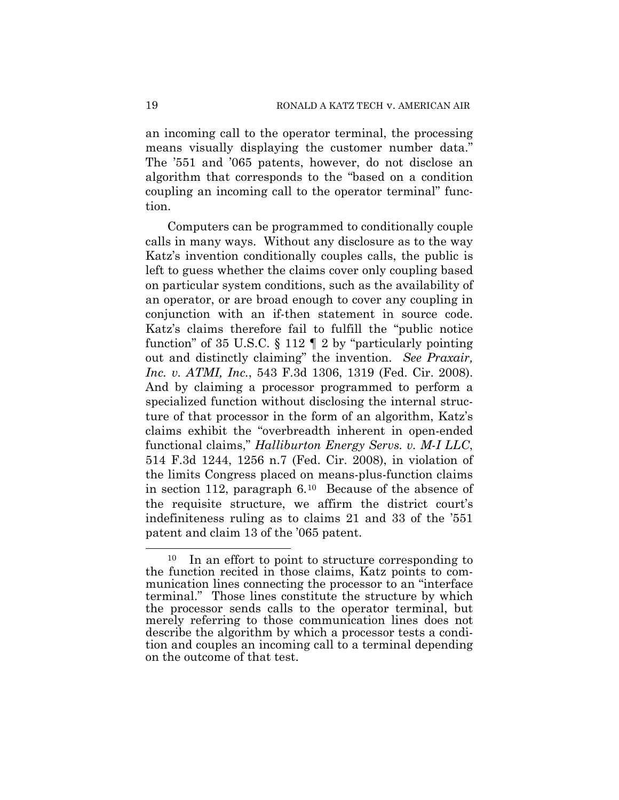an incoming call to the operator terminal, the processing means visually displaying the customer number data." The '551 and '065 patents, however, do not disclose an algorithm that corresponds to the "based on a condition coupling an incoming call to the operator terminal" function.

Computers can be programmed to conditionally couple calls in many ways. Without any disclosure as to the way Katz's invention conditionally couples calls, the public is left to guess whether the claims cover only coupling based on particular system conditions, such as the availability of an operator, or are broad enough to cover any coupling in conjunction with an if-then statement in source code. Katz's claims therefore fail to fulfill the "public notice function" of 35 U.S.C.  $\S 112 \parallel 2$  by "particularly pointing out and distinctly claiming" the invention. *See Praxair, Inc. v. ATMI, Inc.*, 543 F.3d 1306, 1319 (Fed. Cir. 2008). And by claiming a processor programmed to perform a specialized function without disclosing the internal structure of that processor in the form of an algorithm, Katz's claims exhibit the "overbreadth inherent in open-ended functional claims," *Halliburton Energy Servs. v. M-I LLC*, 514 F.3d 1244, 1256 n.7 (Fed. Cir. 2008), in violation of the limits Congress placed on means-plus-function claims in section 112, paragraph 6.[10](#page-18-0) Because of the absence of the requisite structure, we affirm the district court's indefiniteness ruling as to claims 21 and 33 of the '551 patent and claim 13 of the '065 patent.

l

<span id="page-18-0"></span><sup>&</sup>lt;sup>10</sup> In an effort to point to structure corresponding to the function recited in those claims, Katz points to communication lines connecting the processor to an "interface terminal." Those lines constitute the structure by which the processor sends calls to the operator terminal, but merely referring to those communication lines does not describe the algorithm by which a processor tests a condition and couples an incoming call to a terminal depending on the outcome of that test.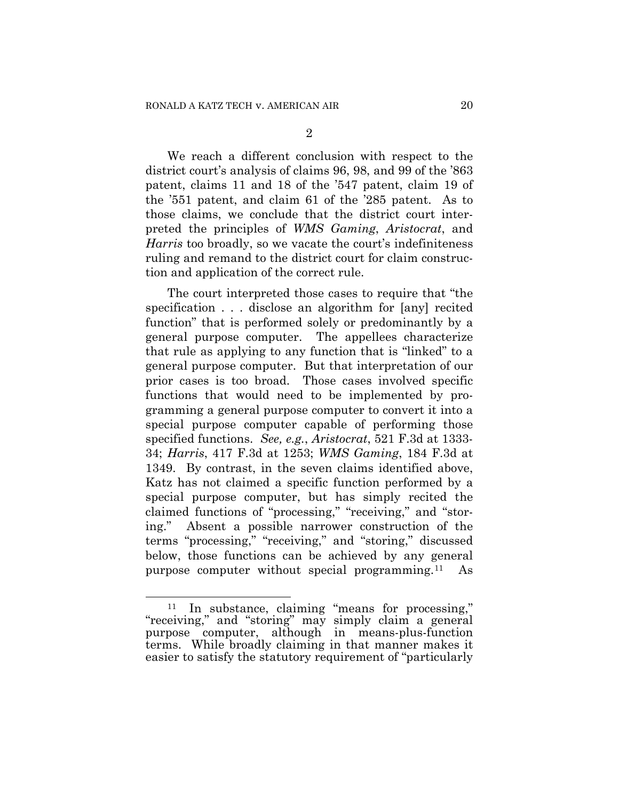2

We reach a different conclusion with respect to the district court's analysis of claims 96, 98, and 99 of the '863 patent, claims 11 and 18 of the '547 patent, claim 19 of the '551 patent, and claim 61 of the '285 patent. As to those claims, we conclude that the district court interpreted the principles of *WMS Gaming*, *Aristocrat*, and *Harris* too broadly, so we vacate the court's indefiniteness ruling and remand to the district court for claim construction and application of the correct rule.

The court interpreted those cases to require that "the specification . . . disclose an algorithm for [any] recited function" that is performed solely or predominantly by a general purpose computer. The appellees characterize that rule as applying to any function that is "linked" to a general purpose computer. But that interpretation of our prior cases is too broad. Those cases involved specific functions that would need to be implemented by programming a general purpose computer to convert it into a special purpose computer capable of performing those specified functions. *See, e.g.*, *Aristocrat*, 521 F.3d at 1333- 34; *Harris*, 417 F.3d at 1253; *WMS Gaming*, 184 F.3d at 1349. By contrast, in the seven claims identified above, Katz has not claimed a specific function performed by a special purpose computer, but has simply recited the claimed functions of "processing," "receiving," and "storing." Absent a possible narrower construction of the terms "processing," "receiving," and "storing," discussed below, those functions can be achieved by any general purpose computer without special programming.[11](#page-19-0) As

l

<span id="page-19-0"></span><sup>11</sup> In substance, claiming "means for processing," "receiving," and "storing" may simply claim a general purpose computer, although in means-plus-function terms. While broadly claiming in that manner makes it easier to satisfy the statutory requirement of "particularly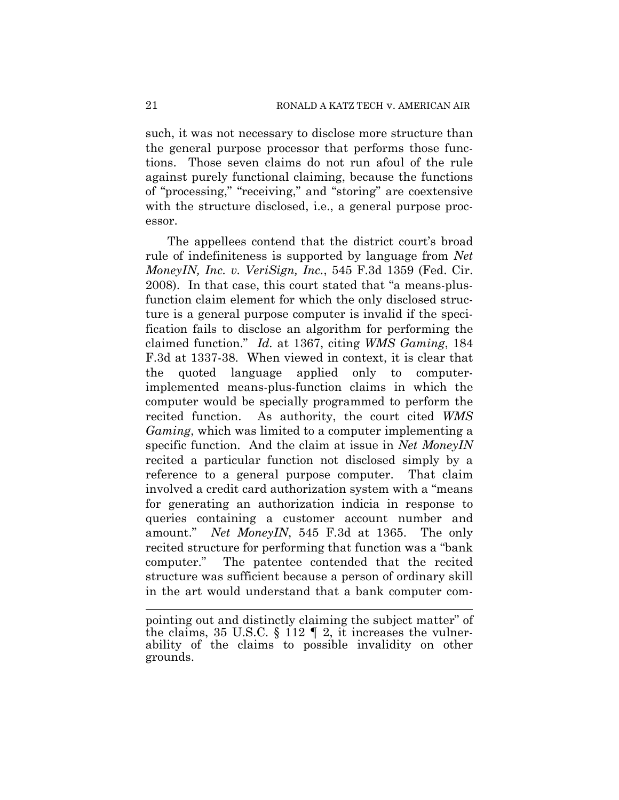such, it was not necessary to disclose more structure than the general purpose processor that performs those functions. Those seven claims do not run afoul of the rule against purely functional claiming, because the functions of "processing," "receiving," and "storing" are coextensive with the structure disclosed, i.e., a general purpose processor.

The appellees contend that the district court's broad rule of indefiniteness is supported by language from *Net MoneyIN, Inc. v. VeriSign, Inc.*, 545 F.3d 1359 (Fed. Cir. 2008). In that case, this court stated that "a means-plusfunction claim element for which the only disclosed structure is a general purpose computer is invalid if the specification fails to disclose an algorithm for performing the claimed function." *Id.* at 1367, citing *WMS Gaming*, 184 F.3d at 1337-38. When viewed in context, it is clear that the quoted language applied only to computerimplemented means-plus-function claims in which the computer would be specially programmed to perform the recited function. As authority, the court cited *WMS Gaming*, which was limited to a computer implementing a specific function. And the claim at issue in *Net MoneyIN* recited a particular function not disclosed simply by a reference to a general purpose computer. That claim involved a credit card authorization system with a "means for generating an authorization indicia in response to queries containing a customer account number and amount." *Net MoneyIN*, 545 F.3d at 1365. The only recited structure for performing that function was a "bank computer." The patentee contended that the recited structure was sufficient because a person of ordinary skill in the art would understand that a bank computer com-

pointing out and distinctly claiming the subject matter" of the claims, 35 U.S.C.  $\S 112 \parallel 2$ , it increases the vulnerability of the claims to possible invalidity on other grounds.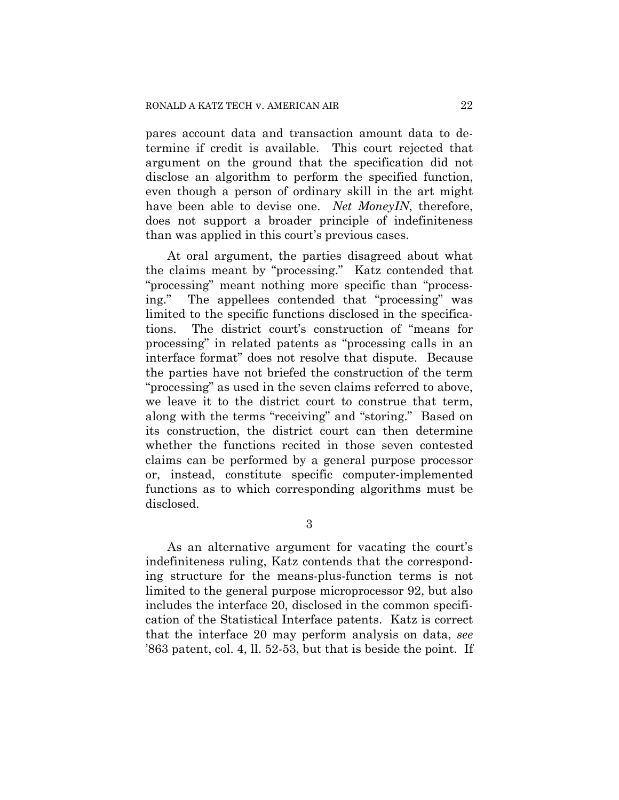pares account data and transaction amount data to determine if credit is available. This court rejected that argument on the ground that the specification did not disclose an algorithm to perform the specified function, even though a person of ordinary skill in the art might have been able to devise one. *Net MoneyIN*, therefore, does not support a broader principle of indefiniteness than was applied in this court's previous cases.

At oral argument, the parties disagreed about what the claims meant by "processing." Katz contended that "processing" meant nothing more specific than "processing." The appellees contended that "processing" was limited to the specific functions disclosed in the specifications. The district court's construction of "means for processing" in related patents as "processing calls in an interface format" does not resolve that dispute. Because the parties have not briefed the construction of the term "processing" as used in the seven claims referred to above, we leave it to the district court to construe that term, along with the terms "receiving" and "storing." Based on its construction, the district court can then determine whether the functions recited in those seven contested claims can be performed by a general purpose processor or, instead, constitute specific computer-implemented functions as to which corresponding algorithms must be disclosed.

3

As an alternative argument for vacating the court's indefiniteness ruling, Katz contends that the corresponding structure for the means-plus-function terms is not limited to the general purpose microprocessor 92, but also includes the interface 20, disclosed in the common specification of the Statistical Interface patents. Katz is correct that the interface 20 may perform analysis on data, *see* '863 patent, col. 4, ll. 52-53, but that is beside the point. If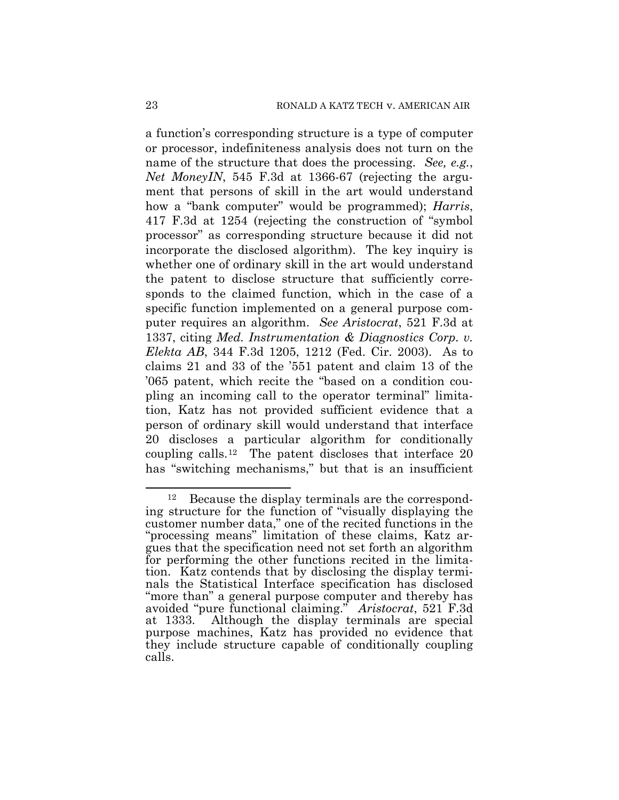a function's corresponding structure is a type of computer or processor, indefiniteness analysis does not turn on the name of the structure that does the processing. *See, e.g.*, *Net MoneyIN*, 545 F.3d at 1366-67 (rejecting the argument that persons of skill in the art would understand how a "bank computer" would be programmed); *Harris*, 417 F.3d at 1254 (rejecting the construction of "symbol processor" as corresponding structure because it did not incorporate the disclosed algorithm). The key inquiry is whether one of ordinary skill in the art would understand the patent to disclose structure that sufficiently corresponds to the claimed function, which in the case of a specific function implemented on a general purpose computer requires an algorithm. *See Aristocrat*, 521 F.3d at 1337, citing *Med. Instrumentation & Diagnostics Corp. v. Elekta AB*, 344 F.3d 1205, 1212 (Fed. Cir. 2003). As to claims 21 and 33 of the '551 patent and claim 13 of the '065 patent, which recite the "based on a condition coupling an incoming call to the operator terminal" limitation, Katz has not provided sufficient evidence that a person of ordinary skill would understand that interface 20 discloses a particular algorithm for conditionally coupling calls.[12](#page-22-0) The patent discloses that interface 20 has "switching mechanisms," but that is an insufficient

l

<span id="page-22-0"></span><sup>12</sup> Because the display terminals are the corresponding structure for the function of "visually displaying the customer number data," one of the recited functions in the "processing means" limitation of these claims, Katz argues that the specification need not set forth an algorithm for performing the other functions recited in the limitation. Katz contends that by disclosing the display terminals the Statistical Interface specification has disclosed "more than" a general purpose computer and thereby has avoided "pure functional claiming." *Aristocrat*, 521 F.3d at 1333. Although the display terminals are special purpose machines, Katz has provided no evidence that they include structure capable of conditionally coupling calls.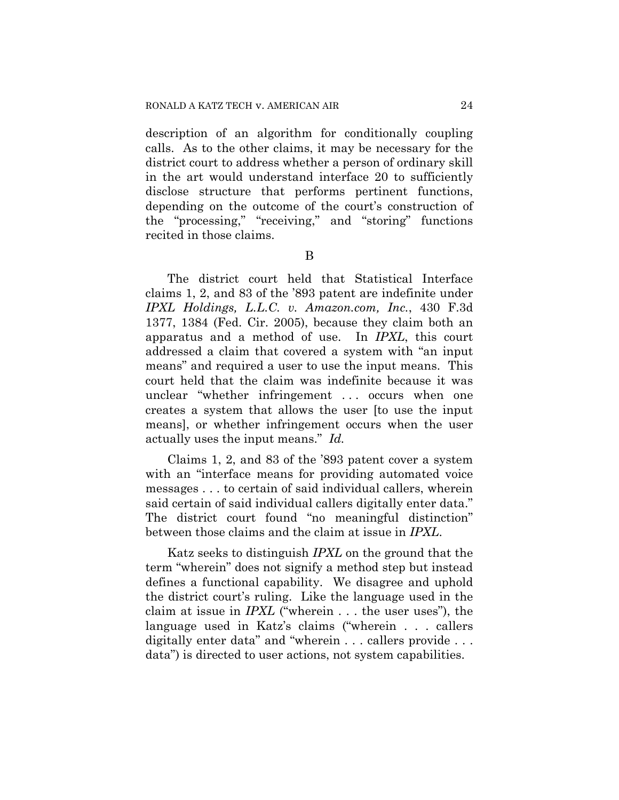description of an algorithm for conditionally coupling calls. As to the other claims, it may be necessary for the district court to address whether a person of ordinary skill in the art would understand interface 20 to sufficiently disclose structure that performs pertinent functions, depending on the outcome of the court's construction of the "processing," "receiving," and "storing" functions recited in those claims.

B

The district court held that Statistical Interface claims 1, 2, and 83 of the '893 patent are indefinite under *IPXL Holdings, L.L.C. v. Amazon.com, Inc.*, 430 F.3d 1377, 1384 (Fed. Cir. 2005), because they claim both an apparatus and a method of use. In *IPXL*, this court addressed a claim that covered a system with "an input means" and required a user to use the input means. This court held that the claim was indefinite because it was unclear "whether infringement . . . occurs when one creates a system that allows the user [to use the input means], or whether infringement occurs when the user actually uses the input means." *Id.*

Claims 1, 2, and 83 of the '893 patent cover a system with an "interface means for providing automated voice messages . . . to certain of said individual callers, wherein said certain of said individual callers digitally enter data." The district court found "no meaningful distinction" between those claims and the claim at issue in *IPXL*.

Katz seeks to distinguish *IPXL* on the ground that the term "wherein" does not signify a method step but instead defines a functional capability. We disagree and uphold the district court's ruling. Like the language used in the claim at issue in *IPXL* ("wherein . . . the user uses"), the language used in Katz's claims ("wherein . . . callers digitally enter data" and "wherein . . . callers provide . . . data") is directed to user actions, not system capabilities.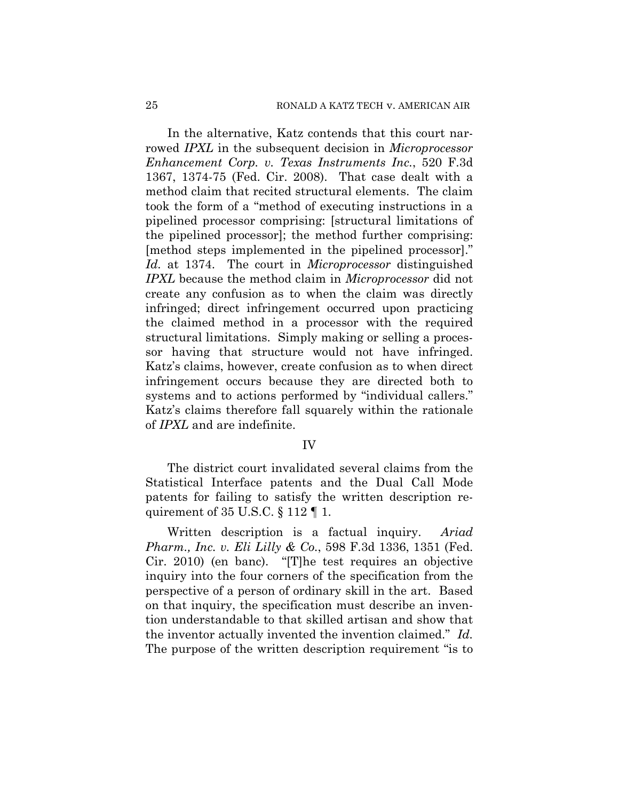In the alternative, Katz contends that this court narrowed *IPXL* in the subsequent decision in *Microprocessor Enhancement Corp. v. Texas Instruments Inc.*, 520 F.3d 1367, 1374-75 (Fed. Cir. 2008). That case dealt with a method claim that recited structural elements. The claim took the form of a "method of executing instructions in a pipelined processor comprising: [structural limitations of the pipelined processor]; the method further comprising: [method steps implemented in the pipelined processor]." *Id.* at 1374. The court in *Microprocessor* distinguished *IPXL* because the method claim in *Microprocessor* did not create any confusion as to when the claim was directly infringed; direct infringement occurred upon practicing the claimed method in a processor with the required structural limitations. Simply making or selling a processor having that structure would not have infringed. Katz's claims, however, create confusion as to when direct infringement occurs because they are directed both to systems and to actions performed by "individual callers." Katz's claims therefore fall squarely within the rationale of *IPXL* and are indefinite.

## IV

The district court invalidated several claims from the Statistical Interface patents and the Dual Call Mode patents for failing to satisfy the written description requirement of  $35 \text{ U.S.C.} \$  112  $\P$  1.

Written description is a factual inquiry. *Ariad Pharm., Inc. v. Eli Lilly & Co.*, 598 F.3d 1336, 1351 (Fed. Cir. 2010) (en banc). "[T]he test requires an objective inquiry into the four corners of the specification from the perspective of a person of ordinary skill in the art. Based on that inquiry, the specification must describe an invention understandable to that skilled artisan and show that the inventor actually invented the invention claimed." *Id.* The purpose of the written description requirement "is to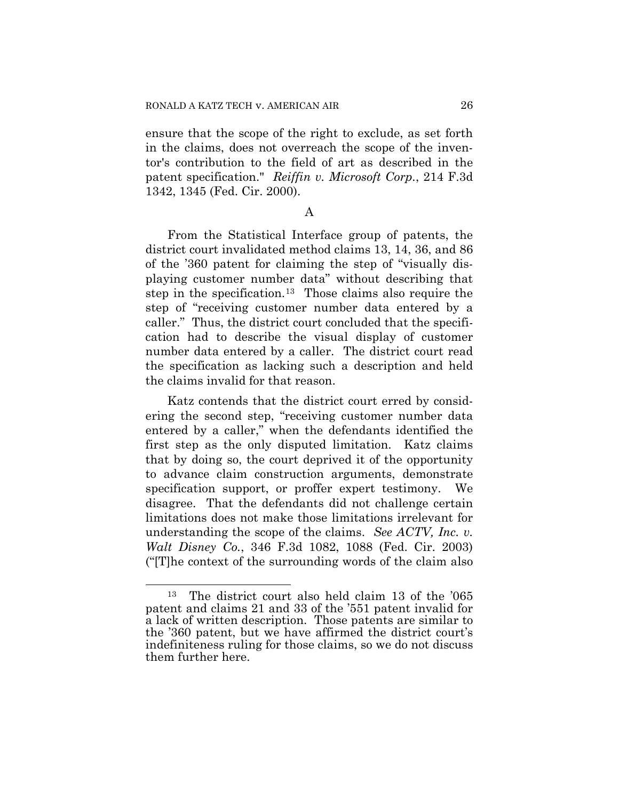ensure that the scope of the right to exclude, as set forth in the claims, does not overreach the scope of the inventor's contribution to the field of art as described in the patent specification." *Reiffin v. Microsoft Corp.*, 214 F.3d 1342, 1345 (Fed. Cir. 2000).

## A

From the Statistical Interface group of patents, the district court invalidated method claims 13, 14, 36, and 86 of the '360 patent for claiming the step of "visually displaying customer number data" without describing that step in the specification.[13](#page-25-0) Those claims also require the step of "receiving customer number data entered by a caller." Thus, the district court concluded that the specification had to describe the visual display of customer number data entered by a caller. The district court read the specification as lacking such a description and held the claims invalid for that reason.

Katz contends that the district court erred by considering the second step, "receiving customer number data entered by a caller," when the defendants identified the first step as the only disputed limitation. Katz claims that by doing so, the court deprived it of the opportunity to advance claim construction arguments, demonstrate specification support, or proffer expert testimony. We disagree. That the defendants did not challenge certain limitations does not make those limitations irrelevant for understanding the scope of the claims. *See ACTV, Inc. v. Walt Disney Co.*, 346 F.3d 1082, 1088 (Fed. Cir. 2003) ("[T]he context of the surrounding words of the claim also

l

<span id="page-25-0"></span><sup>13</sup> The district court also held claim 13 of the '065 patent and claims 21 and 33 of the '551 patent invalid for a lack of written description. Those patents are similar to the '360 patent, but we have affirmed the district court's indefiniteness ruling for those claims, so we do not discuss them further here.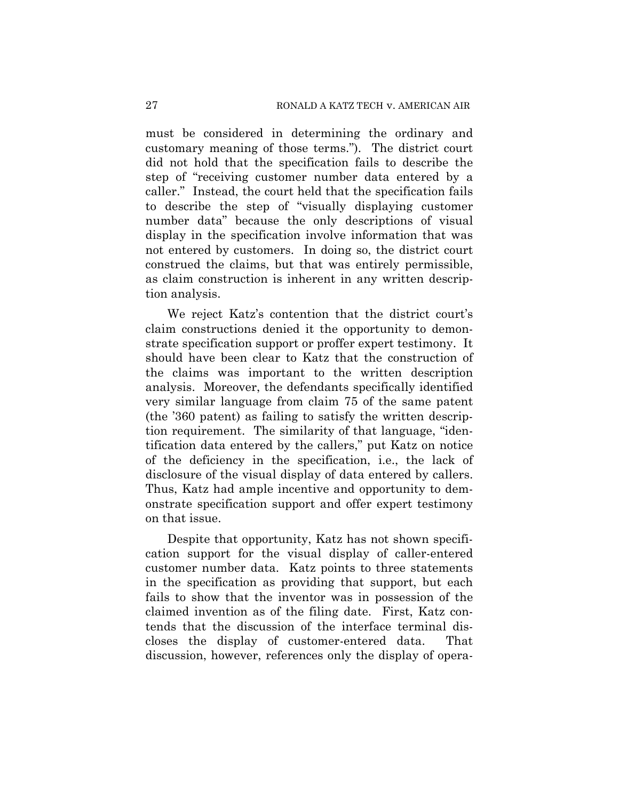must be considered in determining the ordinary and customary meaning of those terms."). The district court did not hold that the specification fails to describe the step of "receiving customer number data entered by a caller." Instead, the court held that the specification fails to describe the step of "visually displaying customer number data" because the only descriptions of visual display in the specification involve information that was not entered by customers. In doing so, the district court construed the claims, but that was entirely permissible, as claim construction is inherent in any written description analysis.

We reject Katz's contention that the district court's claim constructions denied it the opportunity to demonstrate specification support or proffer expert testimony. It should have been clear to Katz that the construction of the claims was important to the written description analysis. Moreover, the defendants specifically identified very similar language from claim 75 of the same patent (the '360 patent) as failing to satisfy the written description requirement. The similarity of that language, "identification data entered by the callers," put Katz on notice of the deficiency in the specification, i.e., the lack of disclosure of the visual display of data entered by callers. Thus, Katz had ample incentive and opportunity to demonstrate specification support and offer expert testimony on that issue.

Despite that opportunity, Katz has not shown specification support for the visual display of caller-entered customer number data. Katz points to three statements in the specification as providing that support, but each fails to show that the inventor was in possession of the claimed invention as of the filing date. First, Katz contends that the discussion of the interface terminal discloses the display of customer-entered data. That discussion, however, references only the display of opera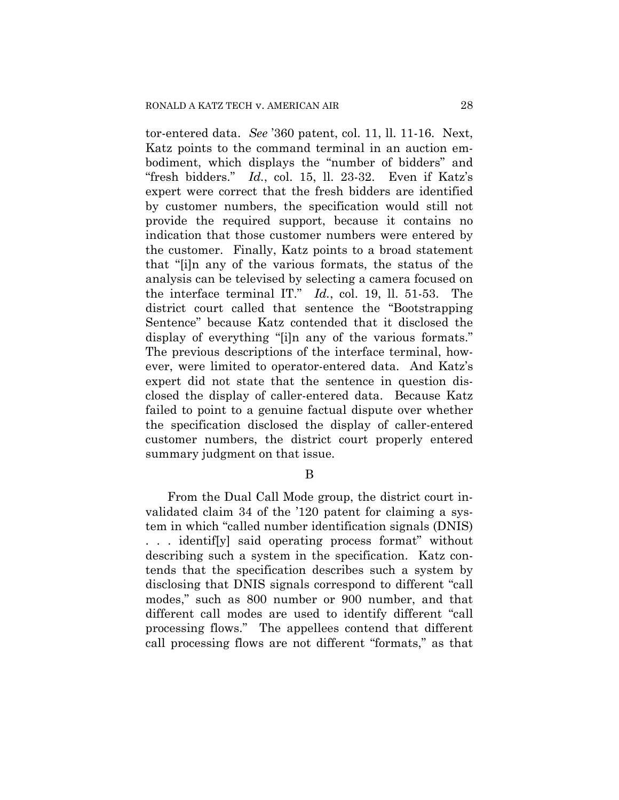tor-entered data. *See* '360 patent, col. 11, ll. 11-16. Next, Katz points to the command terminal in an auction embodiment, which displays the "number of bidders" and "fresh bidders." *Id.*, col. 15, ll. 23-32. Even if Katz's expert were correct that the fresh bidders are identified by customer numbers, the specification would still not provide the required support, because it contains no indication that those customer numbers were entered by the customer. Finally, Katz points to a broad statement that "[i]n any of the various formats, the status of the analysis can be televised by selecting a camera focused on the interface terminal IT." *Id.*, col. 19, ll. 51-53. The district court called that sentence the "Bootstrapping Sentence" because Katz contended that it disclosed the display of everything "[i]n any of the various formats." The previous descriptions of the interface terminal, however, were limited to operator-entered data. And Katz's expert did not state that the sentence in question disclosed the display of caller-entered data. Because Katz failed to point to a genuine factual dispute over whether the specification disclosed the display of caller-entered customer numbers, the district court properly entered summary judgment on that issue.

B

From the Dual Call Mode group, the district court invalidated claim 34 of the '120 patent for claiming a system in which "called number identification signals (DNIS) . . . identif[y] said operating process format" without describing such a system in the specification. Katz contends that the specification describes such a system by disclosing that DNIS signals correspond to different "call modes," such as 800 number or 900 number, and that different call modes are used to identify different "call processing flows." The appellees contend that different call processing flows are not different "formats," as that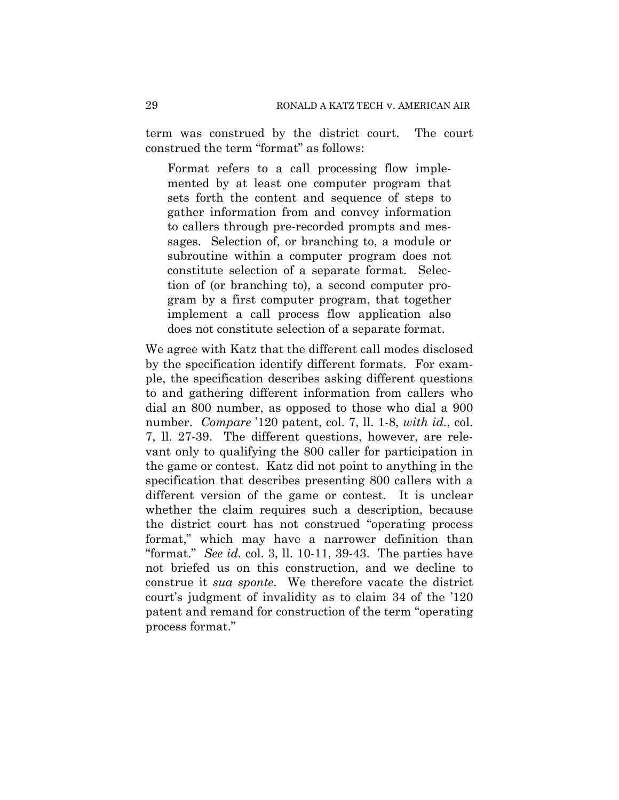term was construed by the district court. The court construed the term "format" as follows:

Format refers to a call processing flow implemented by at least one computer program that sets forth the content and sequence of steps to gather information from and convey information to callers through pre-recorded prompts and messages. Selection of, or branching to, a module or subroutine within a computer program does not constitute selection of a separate format. Selection of (or branching to), a second computer program by a first computer program, that together implement a call process flow application also does not constitute selection of a separate format.

We agree with Katz that the different call modes disclosed by the specification identify different formats. For example, the specification describes asking different questions to and gathering different information from callers who dial an 800 number, as opposed to those who dial a 900 number. *Compare* '120 patent, col. 7, ll. 1-8, *with id.*, col. 7, ll. 27-39. The different questions, however, are relevant only to qualifying the 800 caller for participation in the game or contest. Katz did not point to anything in the specification that describes presenting 800 callers with a different version of the game or contest. It is unclear whether the claim requires such a description, because the district court has not construed "operating process format," which may have a narrower definition than "format." *See id.* col. 3, ll. 10-11, 39-43. The parties have not briefed us on this construction, and we decline to construe it *sua sponte*. We therefore vacate the district court's judgment of invalidity as to claim 34 of the '120 patent and remand for construction of the term "operating process format."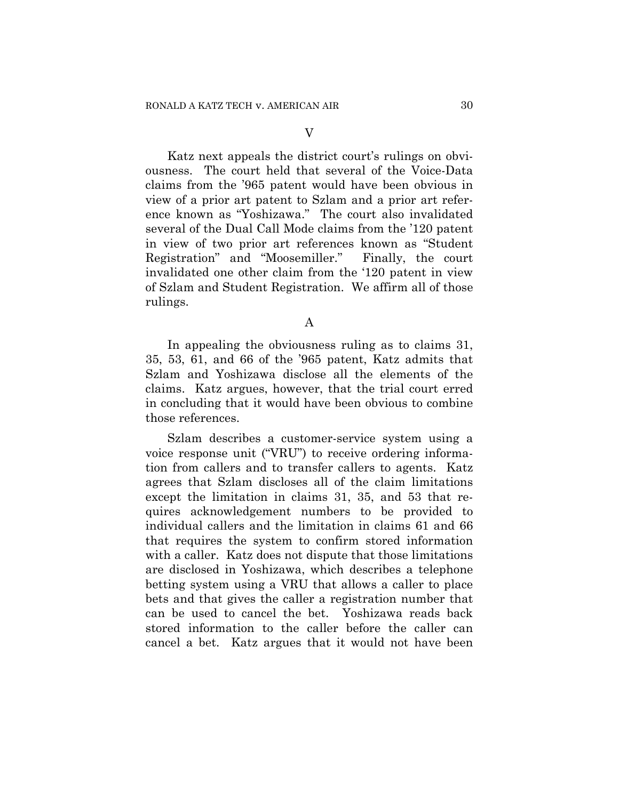V

Katz next appeals the district court's rulings on obviousness. The court held that several of the Voice-Data claims from the '965 patent would have been obvious in view of a prior art patent to Szlam and a prior art reference known as "Yoshizawa." The court also invalidated several of the Dual Call Mode claims from the '120 patent in view of two prior art references known as "Student Registration" and "Moosemiller." Finally, the court invalidated one other claim from the '120 patent in view of Szlam and Student Registration. We affirm all of those rulings.

A

In appealing the obviousness ruling as to claims 31, 35, 53, 61, and 66 of the '965 patent, Katz admits that Szlam and Yoshizawa disclose all the elements of the claims. Katz argues, however, that the trial court erred in concluding that it would have been obvious to combine those references.

Szlam describes a customer-service system using a voice response unit ("VRU") to receive ordering information from callers and to transfer callers to agents. Katz agrees that Szlam discloses all of the claim limitations except the limitation in claims 31, 35, and 53 that requires acknowledgement numbers to be provided to individual callers and the limitation in claims 61 and 66 that requires the system to confirm stored information with a caller. Katz does not dispute that those limitations are disclosed in Yoshizawa, which describes a telephone betting system using a VRU that allows a caller to place bets and that gives the caller a registration number that can be used to cancel the bet. Yoshizawa reads back stored information to the caller before the caller can cancel a bet. Katz argues that it would not have been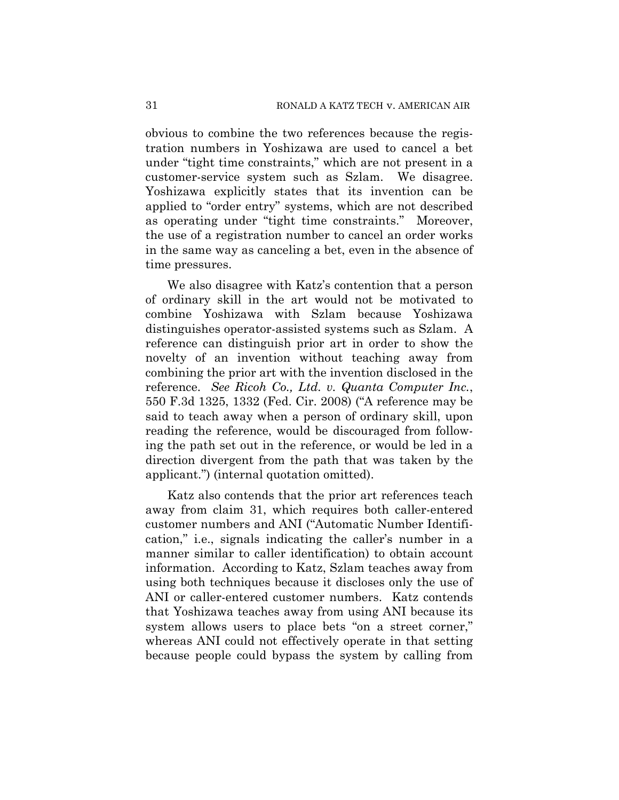obvious to combine the two references because the registration numbers in Yoshizawa are used to cancel a bet under "tight time constraints," which are not present in a customer-service system such as Szlam. We disagree. Yoshizawa explicitly states that its invention can be applied to "order entry" systems, which are not described as operating under "tight time constraints." Moreover, the use of a registration number to cancel an order works in the same way as canceling a bet, even in the absence of time pressures.

We also disagree with Katz's contention that a person of ordinary skill in the art would not be motivated to combine Yoshizawa with Szlam because Yoshizawa distinguishes operator-assisted systems such as Szlam. A reference can distinguish prior art in order to show the novelty of an invention without teaching away from combining the prior art with the invention disclosed in the reference. *See Ricoh Co., Ltd. v. Quanta Computer Inc.*, 550 F.3d 1325, 1332 (Fed. Cir. 2008) ("A reference may be said to teach away when a person of ordinary skill, upon reading the reference, would be discouraged from following the path set out in the reference, or would be led in a direction divergent from the path that was taken by the applicant.") (internal quotation omitted).

Katz also contends that the prior art references teach away from claim 31, which requires both caller-entered customer numbers and ANI ("Automatic Number Identification," i.e., signals indicating the caller's number in a manner similar to caller identification) to obtain account information. According to Katz, Szlam teaches away from using both techniques because it discloses only the use of ANI or caller-entered customer numbers. Katz contends that Yoshizawa teaches away from using ANI because its system allows users to place bets "on a street corner," whereas ANI could not effectively operate in that setting because people could bypass the system by calling from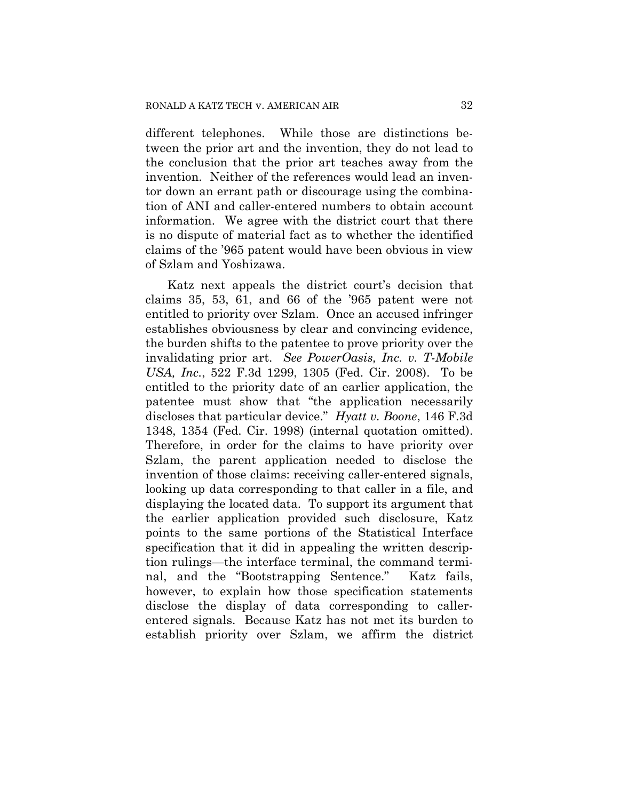different telephones. While those are distinctions between the prior art and the invention, they do not lead to the conclusion that the prior art teaches away from the invention. Neither of the references would lead an inventor down an errant path or discourage using the combination of ANI and caller-entered numbers to obtain account information. We agree with the district court that there is no dispute of material fact as to whether the identified claims of the '965 patent would have been obvious in view of Szlam and Yoshizawa.

Katz next appeals the district court's decision that claims 35, 53, 61, and 66 of the '965 patent were not entitled to priority over Szlam. Once an accused infringer establishes obviousness by clear and convincing evidence, the burden shifts to the patentee to prove priority over the invalidating prior art. *See PowerOasis, Inc. v. T-Mobile USA, Inc.*, 522 F.3d 1299, 1305 (Fed. Cir. 2008). To be entitled to the priority date of an earlier application, the patentee must show that "the application necessarily discloses that particular device." *Hyatt v. Boone*, 146 F.3d 1348, 1354 (Fed. Cir. 1998) (internal quotation omitted). Therefore, in order for the claims to have priority over Szlam, the parent application needed to disclose the invention of those claims: receiving caller-entered signals, looking up data corresponding to that caller in a file, and displaying the located data. To support its argument that the earlier application provided such disclosure, Katz points to the same portions of the Statistical Interface specification that it did in appealing the written description rulings—the interface terminal, the command terminal, and the "Bootstrapping Sentence." Katz fails, however, to explain how those specification statements disclose the display of data corresponding to callerentered signals. Because Katz has not met its burden to establish priority over Szlam, we affirm the district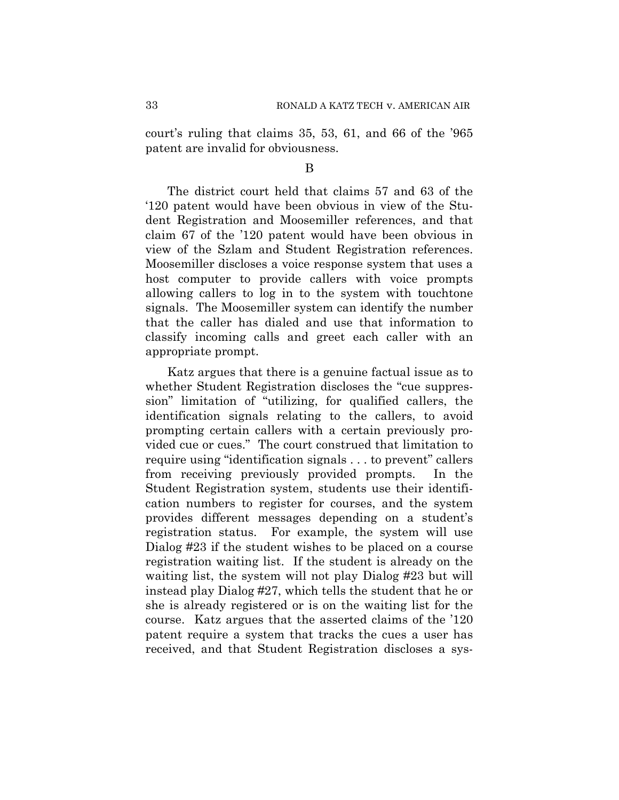court's ruling that claims 35, 53, 61, and 66 of the '965 patent are invalid for obviousness.

B

The district court held that claims 57 and 63 of the '120 patent would have been obvious in view of the Student Registration and Moosemiller references, and that claim 67 of the '120 patent would have been obvious in view of the Szlam and Student Registration references. Moosemiller discloses a voice response system that uses a host computer to provide callers with voice prompts allowing callers to log in to the system with touchtone signals. The Moosemiller system can identify the number that the caller has dialed and use that information to classify incoming calls and greet each caller with an appropriate prompt.

Katz argues that there is a genuine factual issue as to whether Student Registration discloses the "cue suppression" limitation of "utilizing, for qualified callers, the identification signals relating to the callers, to avoid prompting certain callers with a certain previously provided cue or cues." The court construed that limitation to require using "identification signals . . . to prevent" callers from receiving previously provided prompts. In the Student Registration system, students use their identification numbers to register for courses, and the system provides different messages depending on a student's registration status. For example, the system will use Dialog #23 if the student wishes to be placed on a course registration waiting list. If the student is already on the waiting list, the system will not play Dialog #23 but will instead play Dialog #27, which tells the student that he or she is already registered or is on the waiting list for the course. Katz argues that the asserted claims of the '120 patent require a system that tracks the cues a user has received, and that Student Registration discloses a sys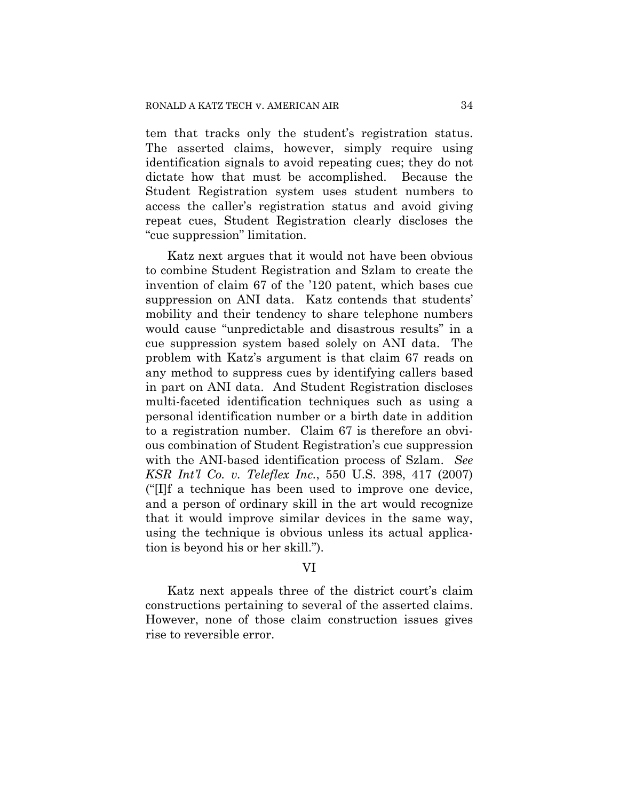tem that tracks only the student's registration status. The asserted claims, however, simply require using identification signals to avoid repeating cues; they do not dictate how that must be accomplished. Because the Student Registration system uses student numbers to access the caller's registration status and avoid giving repeat cues, Student Registration clearly discloses the "cue suppression" limitation.

Katz next argues that it would not have been obvious to combine Student Registration and Szlam to create the invention of claim 67 of the '120 patent, which bases cue suppression on ANI data. Katz contends that students' mobility and their tendency to share telephone numbers would cause "unpredictable and disastrous results" in a cue suppression system based solely on ANI data. The problem with Katz's argument is that claim 67 reads on any method to suppress cues by identifying callers based in part on ANI data. And Student Registration discloses multi-faceted identification techniques such as using a personal identification number or a birth date in addition to a registration number. Claim 67 is therefore an obvious combination of Student Registration's cue suppression with the ANI-based identification process of Szlam. *See KSR Int'l Co. v. Teleflex Inc.*, 550 U.S. 398, 417 (2007) ("[I]f a technique has been used to improve one device, and a person of ordinary skill in the art would recognize that it would improve similar devices in the same way, using the technique is obvious unless its actual application is beyond his or her skill.").

## VI

Katz next appeals three of the district court's claim constructions pertaining to several of the asserted claims. However, none of those claim construction issues gives rise to reversible error.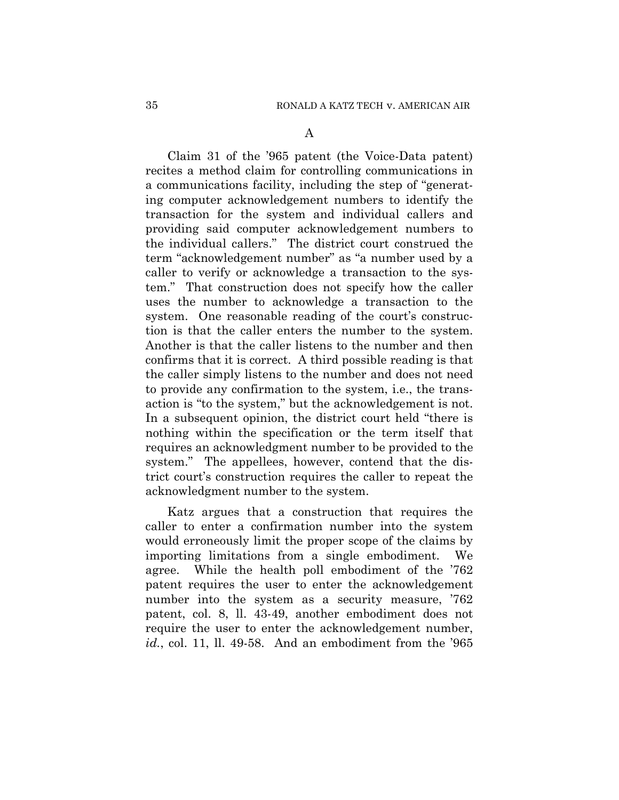Claim 31 of the '965 patent (the Voice-Data patent) recites a method claim for controlling communications in a communications facility, including the step of "generating computer acknowledgement numbers to identify the transaction for the system and individual callers and providing said computer acknowledgement numbers to the individual callers." The district court construed the term "acknowledgement number" as "a number used by a caller to verify or acknowledge a transaction to the system." That construction does not specify how the caller uses the number to acknowledge a transaction to the system. One reasonable reading of the court's construction is that the caller enters the number to the system. Another is that the caller listens to the number and then confirms that it is correct. A third possible reading is that the caller simply listens to the number and does not need to provide any confirmation to the system, i.e., the transaction is "to the system," but the acknowledgement is not. In a subsequent opinion, the district court held "there is nothing within the specification or the term itself that requires an acknowledgment number to be provided to the system." The appellees, however, contend that the district court's construction requires the caller to repeat the acknowledgment number to the system.

Katz argues that a construction that requires the caller to enter a confirmation number into the system would erroneously limit the proper scope of the claims by importing limitations from a single embodiment. We agree. While the health poll embodiment of the '762 patent requires the user to enter the acknowledgement number into the system as a security measure, '762 patent, col. 8, ll. 43-49, another embodiment does not require the user to enter the acknowledgement number, *id.*, col. 11, ll. 49-58. And an embodiment from the '965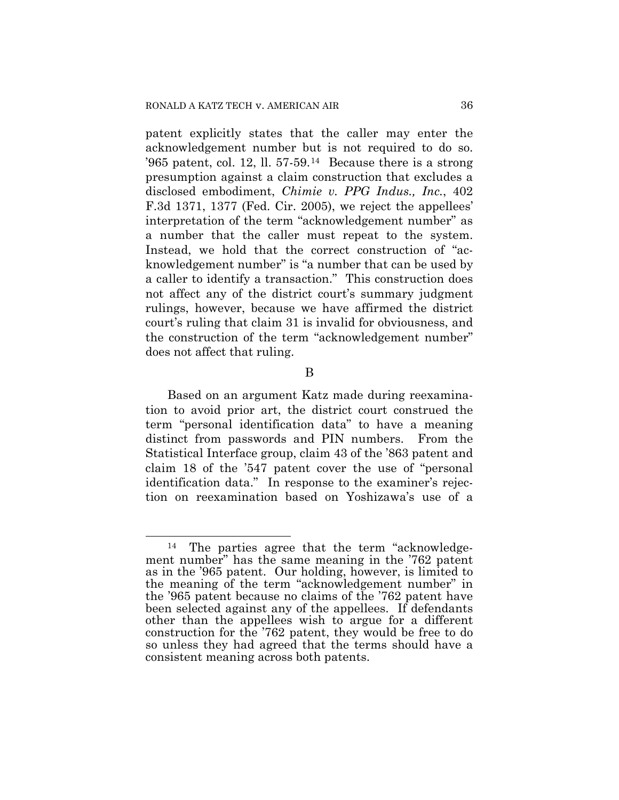patent explicitly states that the caller may enter the acknowledgement number but is not required to do so. '965 patent, col. 12, ll. 57-59.<sup>[14](#page-35-0)</sup> Because there is a strong presumption against a claim construction that excludes a disclosed embodiment, *Chimie v. PPG Indus., Inc.*, 402 F.3d 1371, 1377 (Fed. Cir. 2005), we reject the appellees' interpretation of the term "acknowledgement number" as a number that the caller must repeat to the system. Instead, we hold that the correct construction of "acknowledgement number" is "a number that can be used by a caller to identify a transaction." This construction does not affect any of the district court's summary judgment rulings, however, because we have affirmed the district court's ruling that claim 31 is invalid for obviousness, and the construction of the term "acknowledgement number" does not affect that ruling.

B

Based on an argument Katz made during reexamination to avoid prior art, the district court construed the term "personal identification data" to have a meaning distinct from passwords and PIN numbers. From the Statistical Interface group, claim 43 of the '863 patent and claim 18 of the '547 patent cover the use of "personal identification data." In response to the examiner's rejection on reexamination based on Yoshizawa's use of a

<span id="page-35-0"></span> $\overline{a}$ l 14 The parties agree that the term "acknowledgement number" has the same meaning in the '762 patent as in the '965 patent. Our holding, however, is limited to the meaning of the term "acknowledgement number" in the '965 patent because no claims of the '762 patent have been selected against any of the appellees. If defendants other than the appellees wish to argue for a different construction for the '762 patent, they would be free to do so unless they had agreed that the terms should have a consistent meaning across both patents.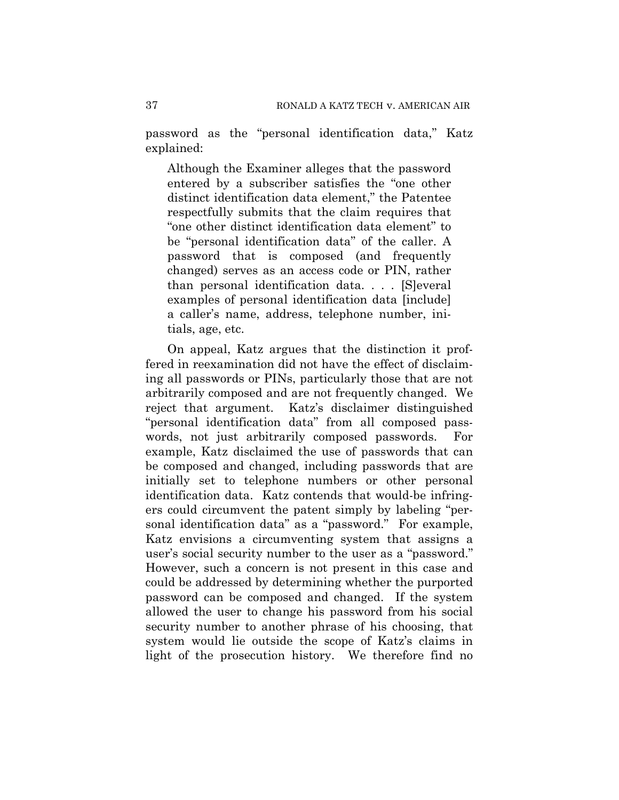password as the "personal identification data," Katz explained:

Although the Examiner alleges that the password entered by a subscriber satisfies the "one other distinct identification data element," the Patentee respectfully submits that the claim requires that "one other distinct identification data element" to be "personal identification data" of the caller. A password that is composed (and frequently changed) serves as an access code or PIN, rather than personal identification data. . . . [S]everal examples of personal identification data [include] a caller's name, address, telephone number, initials, age, etc.

On appeal, Katz argues that the distinction it proffered in reexamination did not have the effect of disclaiming all passwords or PINs, particularly those that are not arbitrarily composed and are not frequently changed. We reject that argument. Katz's disclaimer distinguished "personal identification data" from all composed passwords, not just arbitrarily composed passwords. For example, Katz disclaimed the use of passwords that can be composed and changed, including passwords that are initially set to telephone numbers or other personal identification data. Katz contends that would-be infringers could circumvent the patent simply by labeling "personal identification data" as a "password." For example, Katz envisions a circumventing system that assigns a user's social security number to the user as a "password." However, such a concern is not present in this case and could be addressed by determining whether the purported password can be composed and changed. If the system allowed the user to change his password from his social security number to another phrase of his choosing, that system would lie outside the scope of Katz's claims in light of the prosecution history. We therefore find no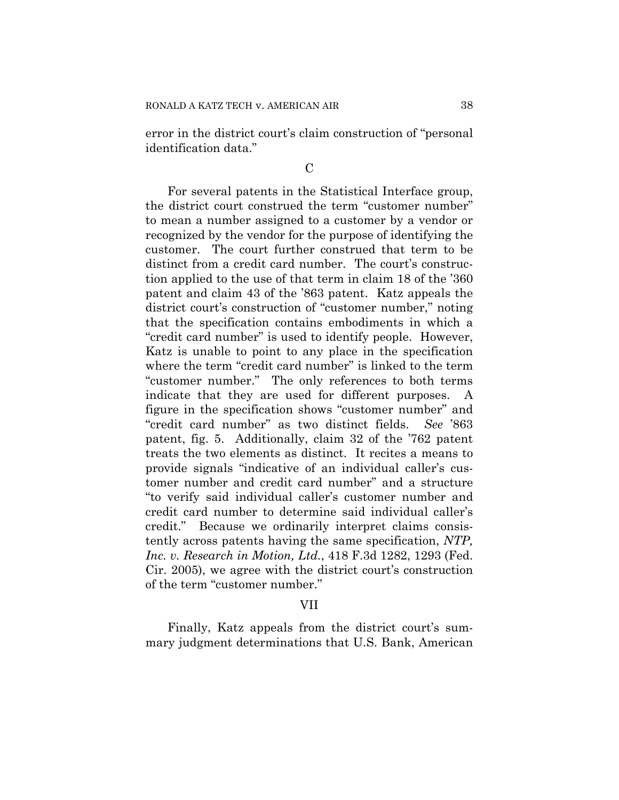error in the district court's claim construction of "personal identification data."

## $\mathcal{C}$

For several patents in the Statistical Interface group, the district court construed the term "customer number" to mean a number assigned to a customer by a vendor or recognized by the vendor for the purpose of identifying the customer. The court further construed that term to be distinct from a credit card number. The court's construction applied to the use of that term in claim 18 of the '360 patent and claim 43 of the '863 patent. Katz appeals the district court's construction of "customer number," noting that the specification contains embodiments in which a "credit card number" is used to identify people. However, Katz is unable to point to any place in the specification where the term "credit card number" is linked to the term "customer number." The only references to both terms indicate that they are used for different purposes. A figure in the specification shows "customer number" and "credit card number" as two distinct fields. *See* '863 patent, fig. 5. Additionally, claim 32 of the '762 patent treats the two elements as distinct. It recites a means to provide signals "indicative of an individual caller's customer number and credit card number" and a structure "to verify said individual caller's customer number and credit card number to determine said individual caller's credit." Because we ordinarily interpret claims consistently across patents having the same specification, *NTP, Inc. v. Research in Motion, Ltd.*, 418 F.3d 1282, 1293 (Fed. Cir. 2005), we agree with the district court's construction of the term "customer number."

## VII

Finally, Katz appeals from the district court's summary judgment determinations that U.S. Bank, American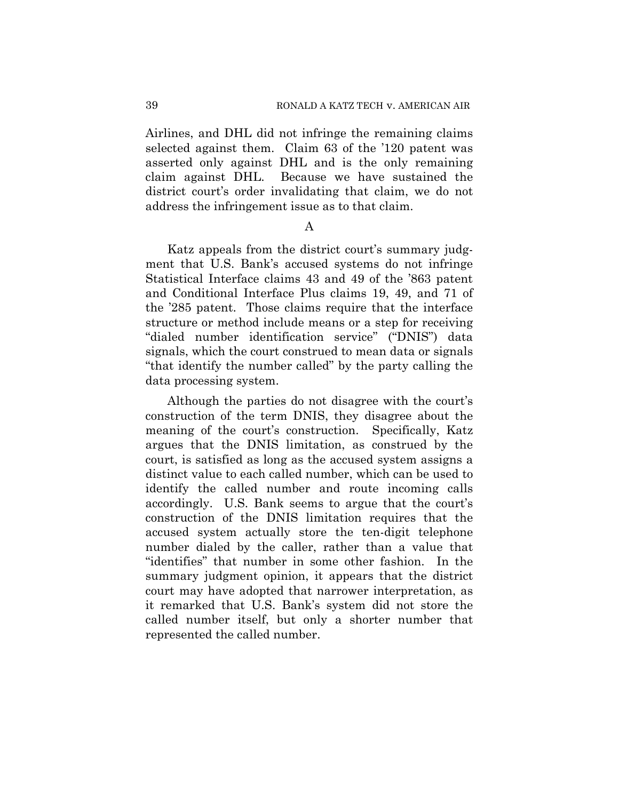Airlines, and DHL did not infringe the remaining claims selected against them. Claim 63 of the '120 patent was asserted only against DHL and is the only remaining claim against DHL. Because we have sustained the district court's order invalidating that claim, we do not address the infringement issue as to that claim.

## A

Katz appeals from the district court's summary judgment that U.S. Bank's accused systems do not infringe Statistical Interface claims 43 and 49 of the '863 patent and Conditional Interface Plus claims 19, 49, and 71 of the '285 patent. Those claims require that the interface structure or method include means or a step for receiving "dialed number identification service" ("DNIS") data signals, which the court construed to mean data or signals "that identify the number called" by the party calling the data processing system.

Although the parties do not disagree with the court's construction of the term DNIS, they disagree about the meaning of the court's construction. Specifically, Katz argues that the DNIS limitation, as construed by the court, is satisfied as long as the accused system assigns a distinct value to each called number, which can be used to identify the called number and route incoming calls accordingly. U.S. Bank seems to argue that the court's construction of the DNIS limitation requires that the accused system actually store the ten-digit telephone number dialed by the caller, rather than a value that "identifies" that number in some other fashion. In the summary judgment opinion, it appears that the district court may have adopted that narrower interpretation, as it remarked that U.S. Bank's system did not store the called number itself, but only a shorter number that represented the called number.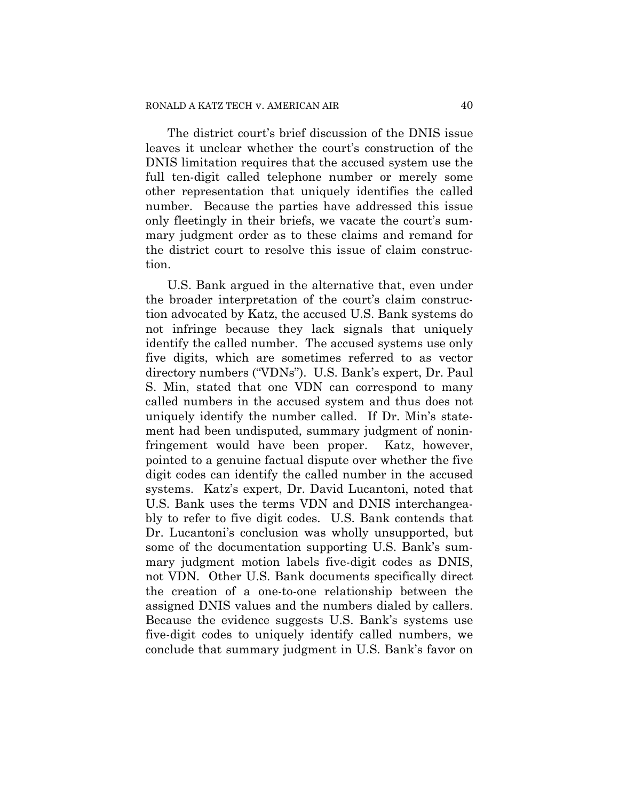The district court's brief discussion of the DNIS issue leaves it unclear whether the court's construction of the DNIS limitation requires that the accused system use the full ten-digit called telephone number or merely some other representation that uniquely identifies the called number. Because the parties have addressed this issue only fleetingly in their briefs, we vacate the court's summary judgment order as to these claims and remand for the district court to resolve this issue of claim construction.

U.S. Bank argued in the alternative that, even under the broader interpretation of the court's claim construction advocated by Katz, the accused U.S. Bank systems do not infringe because they lack signals that uniquely identify the called number. The accused systems use only five digits, which are sometimes referred to as vector directory numbers ("VDNs"). U.S. Bank's expert, Dr. Paul S. Min, stated that one VDN can correspond to many called numbers in the accused system and thus does not uniquely identify the number called. If Dr. Min's statement had been undisputed, summary judgment of noninfringement would have been proper. Katz, however, pointed to a genuine factual dispute over whether the five digit codes can identify the called number in the accused systems. Katz's expert, Dr. David Lucantoni, noted that U.S. Bank uses the terms VDN and DNIS interchangeably to refer to five digit codes. U.S. Bank contends that Dr. Lucantoni's conclusion was wholly unsupported, but some of the documentation supporting U.S. Bank's summary judgment motion labels five-digit codes as DNIS, not VDN. Other U.S. Bank documents specifically direct the creation of a one-to-one relationship between the assigned DNIS values and the numbers dialed by callers. Because the evidence suggests U.S. Bank's systems use five-digit codes to uniquely identify called numbers, we conclude that summary judgment in U.S. Bank's favor on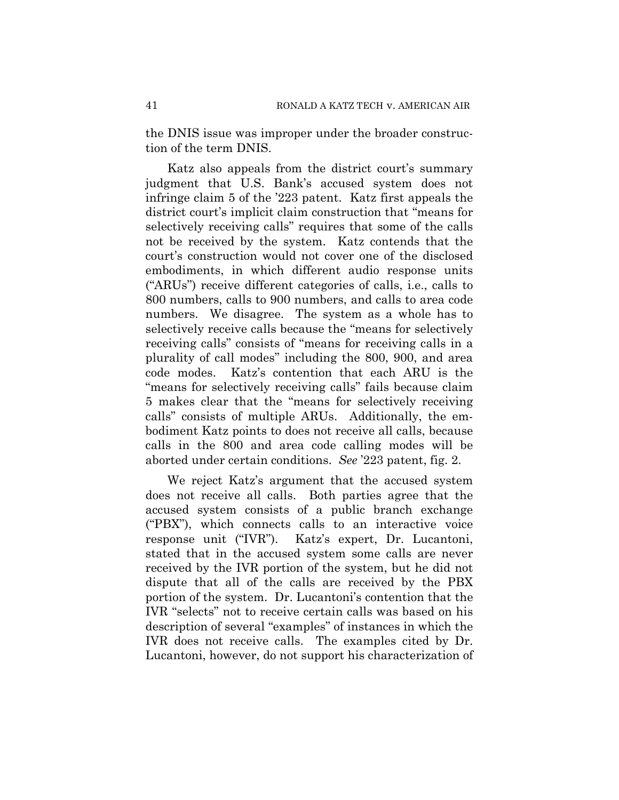the DNIS issue was improper under the broader construction of the term DNIS.

Katz also appeals from the district court's summary judgment that U.S. Bank's accused system does not infringe claim 5 of the '223 patent. Katz first appeals the district court's implicit claim construction that "means for selectively receiving calls" requires that some of the calls not be received by the system. Katz contends that the court's construction would not cover one of the disclosed embodiments, in which different audio response units ("ARUs") receive different categories of calls, i.e., calls to 800 numbers, calls to 900 numbers, and calls to area code numbers. We disagree. The system as a whole has to selectively receive calls because the "means for selectively receiving calls" consists of "means for receiving calls in a plurality of call modes" including the 800, 900, and area code modes. Katz's contention that each ARU is the "means for selectively receiving calls" fails because claim 5 makes clear that the "means for selectively receiving calls" consists of multiple ARUs. Additionally, the embodiment Katz points to does not receive all calls, because calls in the 800 and area code calling modes will be aborted under certain conditions. *See* '223 patent, fig. 2.

We reject Katz's argument that the accused system does not receive all calls. Both parties agree that the accused system consists of a public branch exchange ("PBX"), which connects calls to an interactive voice response unit ("IVR"). Katz's expert, Dr. Lucantoni, stated that in the accused system some calls are never received by the IVR portion of the system, but he did not dispute that all of the calls are received by the PBX portion of the system. Dr. Lucantoni's contention that the IVR "selects" not to receive certain calls was based on his description of several "examples" of instances in which the IVR does not receive calls. The examples cited by Dr. Lucantoni, however, do not support his characterization of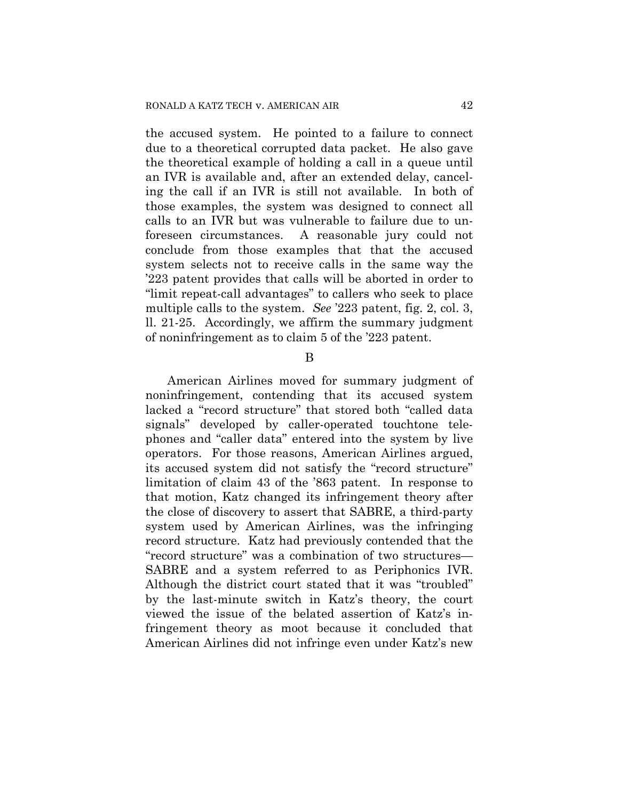the accused system. He pointed to a failure to connect due to a theoretical corrupted data packet. He also gave the theoretical example of holding a call in a queue until an IVR is available and, after an extended delay, canceling the call if an IVR is still not available. In both of those examples, the system was designed to connect all calls to an IVR but was vulnerable to failure due to unforeseen circumstances. A reasonable jury could not conclude from those examples that that the accused system selects not to receive calls in the same way the '223 patent provides that calls will be aborted in order to "limit repeat-call advantages" to callers who seek to place multiple calls to the system. *See* '223 patent, fig. 2, col. 3, ll. 21-25. Accordingly, we affirm the summary judgment of noninfringement as to claim 5 of the '223 patent.

## B

American Airlines moved for summary judgment of noninfringement, contending that its accused system lacked a "record structure" that stored both "called data signals" developed by caller-operated touchtone telephones and "caller data" entered into the system by live operators. For those reasons, American Airlines argued, its accused system did not satisfy the "record structure" limitation of claim 43 of the '863 patent. In response to that motion, Katz changed its infringement theory after the close of discovery to assert that SABRE, a third-party system used by American Airlines, was the infringing record structure. Katz had previously contended that the "record structure" was a combination of two structures— SABRE and a system referred to as Periphonics IVR. Although the district court stated that it was "troubled" by the last-minute switch in Katz's theory, the court viewed the issue of the belated assertion of Katz's infringement theory as moot because it concluded that American Airlines did not infringe even under Katz's new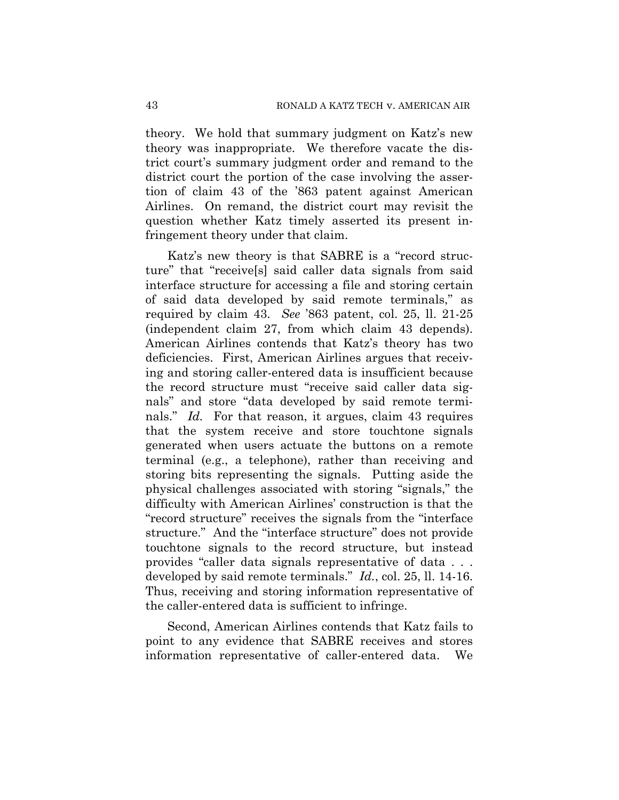theory. We hold that summary judgment on Katz's new theory was inappropriate. We therefore vacate the district court's summary judgment order and remand to the district court the portion of the case involving the assertion of claim 43 of the '863 patent against American Airlines. On remand, the district court may revisit the question whether Katz timely asserted its present infringement theory under that claim.

Katz's new theory is that SABRE is a "record structure" that "receive[s] said caller data signals from said interface structure for accessing a file and storing certain of said data developed by said remote terminals," as required by claim 43. *See* '863 patent, col. 25, ll. 21-25 (independent claim 27, from which claim 43 depends). American Airlines contends that Katz's theory has two deficiencies. First, American Airlines argues that receiving and storing caller-entered data is insufficient because the record structure must "receive said caller data signals" and store "data developed by said remote terminals." *Id.* For that reason, it argues, claim 43 requires that the system receive and store touchtone signals generated when users actuate the buttons on a remote terminal (e.g., a telephone), rather than receiving and storing bits representing the signals. Putting aside the physical challenges associated with storing "signals," the difficulty with American Airlines' construction is that the "record structure" receives the signals from the "interface structure." And the "interface structure" does not provide touchtone signals to the record structure, but instead provides "caller data signals representative of data . . . developed by said remote terminals." *Id.*, col. 25, ll. 14-16. Thus, receiving and storing information representative of the caller-entered data is sufficient to infringe.

Second, American Airlines contends that Katz fails to point to any evidence that SABRE receives and stores information representative of caller-entered data. We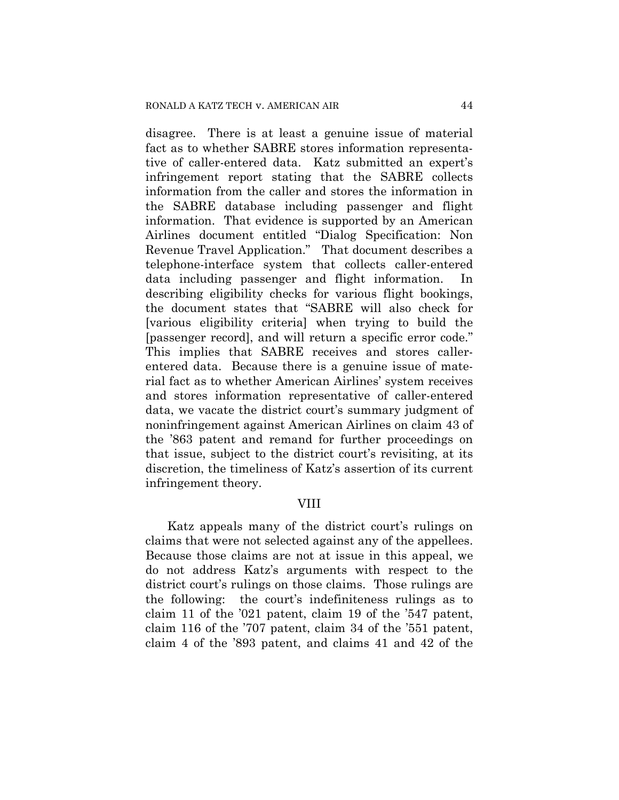disagree. There is at least a genuine issue of material fact as to whether SABRE stores information representative of caller-entered data. Katz submitted an expert's infringement report stating that the SABRE collects information from the caller and stores the information in the SABRE database including passenger and flight information. That evidence is supported by an American Airlines document entitled "Dialog Specification: Non Revenue Travel Application." That document describes a telephone-interface system that collects caller-entered data including passenger and flight information. In describing eligibility checks for various flight bookings, the document states that "SABRE will also check for [various eligibility criteria] when trying to build the [passenger record], and will return a specific error code." This implies that SABRE receives and stores callerentered data. Because there is a genuine issue of material fact as to whether American Airlines' system receives and stores information representative of caller-entered data, we vacate the district court's summary judgment of noninfringement against American Airlines on claim 43 of the '863 patent and remand for further proceedings on that issue, subject to the district court's revisiting, at its discretion, the timeliness of Katz's assertion of its current infringement theory.

## VIII

Katz appeals many of the district court's rulings on claims that were not selected against any of the appellees. Because those claims are not at issue in this appeal, we do not address Katz's arguments with respect to the district court's rulings on those claims. Those rulings are the following: the court's indefiniteness rulings as to claim 11 of the '021 patent, claim 19 of the '547 patent, claim 116 of the '707 patent, claim 34 of the '551 patent, claim 4 of the '893 patent, and claims 41 and 42 of the